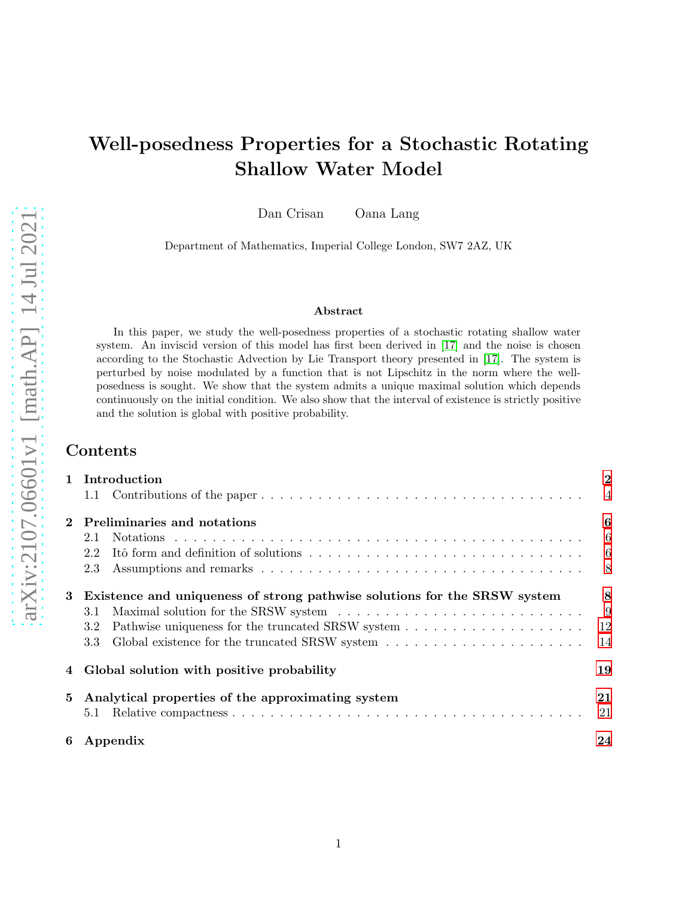# Well-posedness Properties for a Stochastic Rotating Shallow Water Model

Dan Crisan Oana Lang

Department of Mathematics, Imperial College London, SW7 2AZ, UK

#### Abstract

In this paper, we study the well-posedness properties of a stochastic rotating shallow water system. An inviscid version of this model has first been derived in [\[17\]](#page-27-0) and the noise is chosen according to the Stochastic Advection by Lie Transport theory presented in [\[17\]](#page-27-0). The system is perturbed by noise modulated by a function that is not Lipschitz in the norm where the wellposedness is sought. We show that the system admits a unique maximal solution which depends continuously on the initial condition. We also show that the interval of existence is strictly positive and the solution is global with positive probability.

# Contents

|             | 1 Introduction                                                                                                             | $\overline{2}$             |
|-------------|----------------------------------------------------------------------------------------------------------------------------|----------------------------|
|             |                                                                                                                            | $\overline{4}$             |
| $\mathbf 2$ | Preliminaries and notations                                                                                                | 6                          |
|             | 2.1                                                                                                                        | $\overline{\phantom{0}}$ 6 |
|             | Itô form and definition of solutions $\ldots \ldots \ldots \ldots \ldots \ldots \ldots \ldots \ldots \ldots \ldots$<br>2.2 |                            |
|             | 2.3                                                                                                                        |                            |
| 3           | Existence and uniqueness of strong pathwise solutions for the SRSW system                                                  | 8                          |
|             | 3.1                                                                                                                        | - 9                        |
|             | 3.2                                                                                                                        | 12                         |
|             | Global existence for the truncated SRSW system $\ldots \ldots \ldots \ldots \ldots \ldots \ldots$<br>3.3                   | 14                         |
|             | Global solution with positive probability                                                                                  | 19                         |
| 5           | Analytical properties of the approximating system                                                                          | 21                         |
|             | 5.1                                                                                                                        | 21                         |
| 6           | Appendix                                                                                                                   | 24                         |
|             |                                                                                                                            |                            |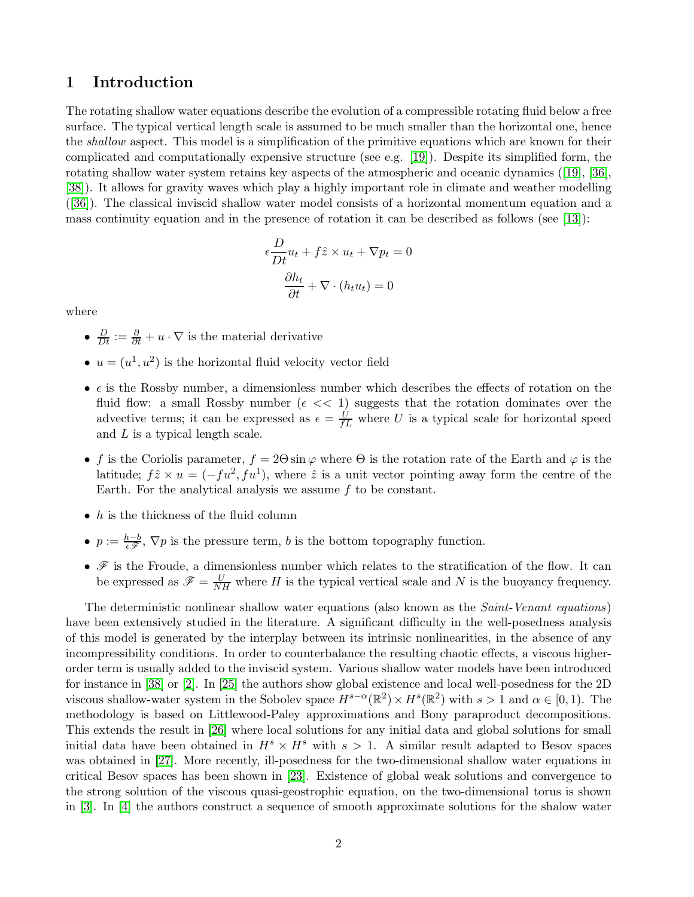## <span id="page-1-0"></span>1 Introduction

The rotating shallow water equations describe the evolution of a compressible rotating fluid below a free surface. The typical vertical length scale is assumed to be much smaller than the horizontal one, hence the shallow aspect. This model is a simplification of the primitive equations which are known for their complicated and computationally expensive structure (see e.g. [\[19\]](#page-27-1)). Despite its simplified form, the rotating shallow water system retains key aspects of the atmospheric and oceanic dynamics ([\[19\]](#page-27-1), [\[36\]](#page-28-0), [\[38\]](#page-29-0)). It allows for gravity waves which play a highly important role in climate and weather modelling ([\[36\]](#page-28-0)). The classical inviscid shallow water model consists of a horizontal momentum equation and a mass continuity equation and in the presence of rotation it can be described as follows (see [\[13\]](#page-27-2)):

$$
\epsilon \frac{D}{Dt} u_t + f \hat{z} \times u_t + \nabla p_t = 0
$$

$$
\frac{\partial h_t}{\partial t} + \nabla \cdot (h_t u_t) = 0
$$

where

- $\frac{D}{Dt} := \frac{\partial}{\partial t} + u \cdot \nabla$  is the material derivative
- $u = (u^1, u^2)$  is the horizontal fluid velocity vector field
- $\epsilon$  is the Rossby number, a dimensionless number which describes the effects of rotation on the fluid flow: a small Rossby number ( $\epsilon \ll 1$ ) suggests that the rotation dominates over the advective terms; it can be expressed as  $\epsilon = \frac{U}{fL}$  where U is a typical scale for horizontal speed and  $L$  is a typical length scale.
- f is the Coriolis parameter,  $f = 2\Theta \sin \varphi$  where  $\Theta$  is the rotation rate of the Earth and  $\varphi$  is the latitude;  $f\hat{z} \times u = (-fu^2, fu^1)$ , where  $\hat{z}$  is a unit vector pointing away form the centre of the Earth. For the analytical analysis we assume f to be constant.
- $\bullet$  *h* is the thickness of the fluid column
- $p := \frac{h-b}{\epsilon \mathscr{F}}, \nabla p$  is the pressure term, b is the bottom topography function.
- $\bullet$   $\mathscr F$  is the Froude, a dimensionless number which relates to the stratification of the flow. It can be expressed as  $\mathscr{F} = \frac{U}{NH}$  where H is the typical vertical scale and N is the buoyancy frequency.

The deterministic nonlinear shallow water equations (also known as the *Saint-Venant equations*) have been extensively studied in the literature. A significant difficulty in the well-posedness analysis of this model is generated by the interplay between its intrinsic nonlinearities, in the absence of any incompressibility conditions. In order to counterbalance the resulting chaotic effects, a viscous higherorder term is usually added to the inviscid system. Various shallow water models have been introduced for instance in [\[38\]](#page-29-0) or [\[2\]](#page-26-0). In [\[25\]](#page-28-1) the authors show global existence and local well-posedness for the 2D viscous shallow-water system in the Sobolev space  $H^{s-\alpha}(\mathbb{R}^2) \times H^s(\mathbb{R}^2)$  with  $s > 1$  and  $\alpha \in [0, 1)$ . The methodology is based on Littlewood-Paley approximations and Bony paraproduct decompositions. This extends the result in [\[26\]](#page-28-2) where local solutions for any initial data and global solutions for small initial data have been obtained in  $H^s \times H^s$  with  $s > 1$ . A similar result adapted to Besov spaces was obtained in [\[27\]](#page-28-3). More recently, ill-posedness for the two-dimensional shallow water equations in critical Besov spaces has been shown in [\[23\]](#page-28-4). Existence of global weak solutions and convergence to the strong solution of the viscous quasi-geostrophic equation, on the two-dimensional torus is shown in [\[3\]](#page-27-3). In [\[4\]](#page-27-4) the authors construct a sequence of smooth approximate solutions for the shalow water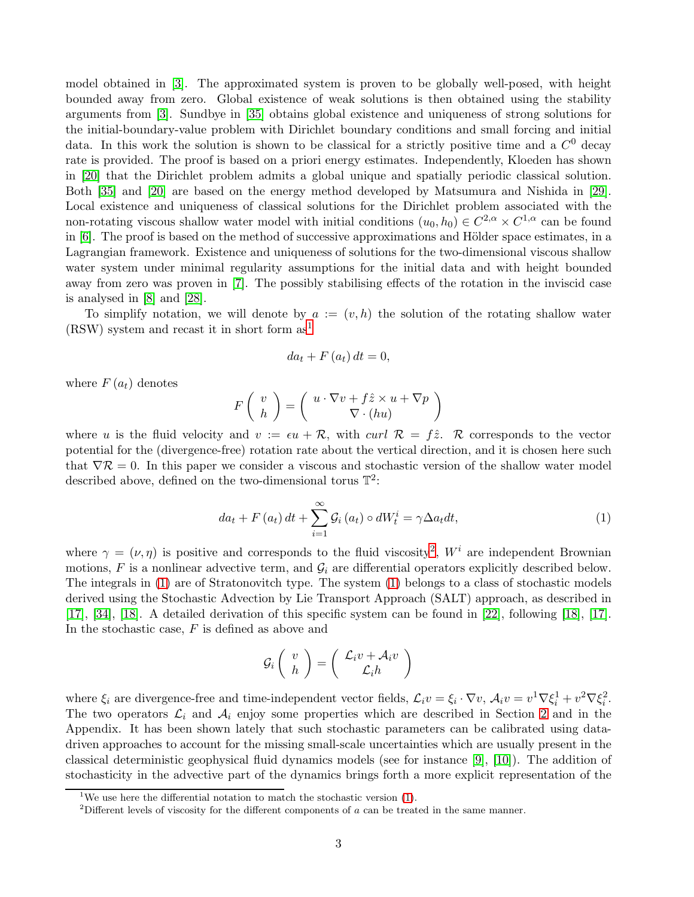model obtained in [\[3\]](#page-27-3). The approximated system is proven to be globally well-posed, with height bounded away from zero. Global existence of weak solutions is then obtained using the stability arguments from [\[3\]](#page-27-3). Sundbye in [\[35\]](#page-28-5) obtains global existence and uniqueness of strong solutions for the initial-boundary-value problem with Dirichlet boundary conditions and small forcing and initial data. In this work the solution is shown to be classical for a strictly positive time and a  $C^0$  decay rate is provided. The proof is based on a priori energy estimates. Independently, Kloeden has shown in [\[20\]](#page-28-6) that the Dirichlet problem admits a global unique and spatially periodic classical solution. Both [\[35\]](#page-28-5) and [\[20\]](#page-28-6) are based on the energy method developed by Matsumura and Nishida in [\[29\]](#page-28-7). Local existence and uniqueness of classical solutions for the Dirichlet problem associated with the non-rotating viscous shallow water model with initial conditions  $(u_0, h_0) \in C^{2,\alpha} \times C^{1,\alpha}$  can be found in [\[6\]](#page-27-5). The proof is based on the method of successive approximations and Hölder space estimates, in a Lagrangian framework. Existence and uniqueness of solutions for the two-dimensional viscous shallow water system under minimal regularity assumptions for the initial data and with height bounded away from zero was proven in [\[7\]](#page-27-6). The possibly stabilising effects of the rotation in the inviscid case is analysed in [\[8\]](#page-27-7) and [\[28\]](#page-28-8).

To simplify notation, we will denote by  $a := (v, h)$  the solution of the rotating shallow water  $(RSW)$  system and recast it in short form as<sup>[1](#page-2-0)</sup>

$$
da_t + F(a_t) dt = 0,
$$

where  $F(a_t)$  denotes

$$
F\left(\begin{array}{c} v \\ h \end{array}\right) = \left(\begin{array}{c} u\cdot \nabla v + f\hat{z}\times u + \nabla p \\ \nabla \cdot (h u) \end{array}\right)
$$

where u is the fluid velocity and  $v := \epsilon u + \mathcal{R}$ , with curl  $\mathcal{R} = f\hat{z}$ . R corresponds to the vector potential for the (divergence-free) rotation rate about the vertical direction, and it is chosen here such that  $\nabla \mathcal{R} = 0$ . In this paper we consider a viscous and stochastic version of the shallow water model described above, defined on the two-dimensional torus  $\mathbb{T}^2$ :

<span id="page-2-2"></span>
$$
da_t + F(a_t) dt + \sum_{i=1}^{\infty} \mathcal{G}_i(a_t) \circ dW_t^i = \gamma \Delta a_t dt,
$$
\n(1)

where  $\gamma = (\nu, \eta)$  is positive and corresponds to the fluid viscosity<sup>[2](#page-2-1)</sup>,  $W^i$  are independent Brownian motions, F is a nonlinear advective term, and  $\mathcal{G}_i$  are differential operators explicitly described below. The integrals in [\(1\)](#page-2-2) are of Stratonovitch type. The system [\(1\)](#page-2-2) belongs to a class of stochastic models derived using the Stochastic Advection by Lie Transport Approach (SALT) approach, as described in [\[17\]](#page-27-0), [\[34\]](#page-28-9), [\[18\]](#page-27-8). A detailed derivation of this specific system can be found in [\[22\]](#page-28-10), following [\[18\]](#page-27-8), [\[17\]](#page-27-0). In the stochastic case,  $F$  is defined as above and

$$
\mathcal{G}_i \left( \begin{array}{c} v \\ h \end{array} \right) = \left( \begin{array}{c} \mathcal{L}_i v + \mathcal{A}_i v \\ \mathcal{L}_i h \end{array} \right)
$$

where  $\xi_i$  are divergence-free and time-independent vector fields,  $\mathcal{L}_i v = \xi_i \cdot \nabla v$ ,  $\mathcal{A}_i v = v^1 \nabla \xi_i^1 + v^2 \nabla \xi_i^2$ . The two operators  $\mathcal{L}_i$  and  $\mathcal{A}_i$  enjoy some properties which are described in Section [2](#page-5-0) and in the Appendix. It has been shown lately that such stochastic parameters can be calibrated using datadriven approaches to account for the missing small-scale uncertainties which are usually present in the classical deterministic geophysical fluid dynamics models (see for instance [\[9\]](#page-27-9), [\[10\]](#page-27-10)). The addition of stochasticity in the advective part of the dynamics brings forth a more explicit representation of the

<sup>&</sup>lt;sup>1</sup>We use here the differential notation to match the stochastic version  $(1)$ .

<span id="page-2-1"></span><span id="page-2-0"></span><sup>&</sup>lt;sup>2</sup>Different levels of viscosity for the different components of a can be treated in the same manner.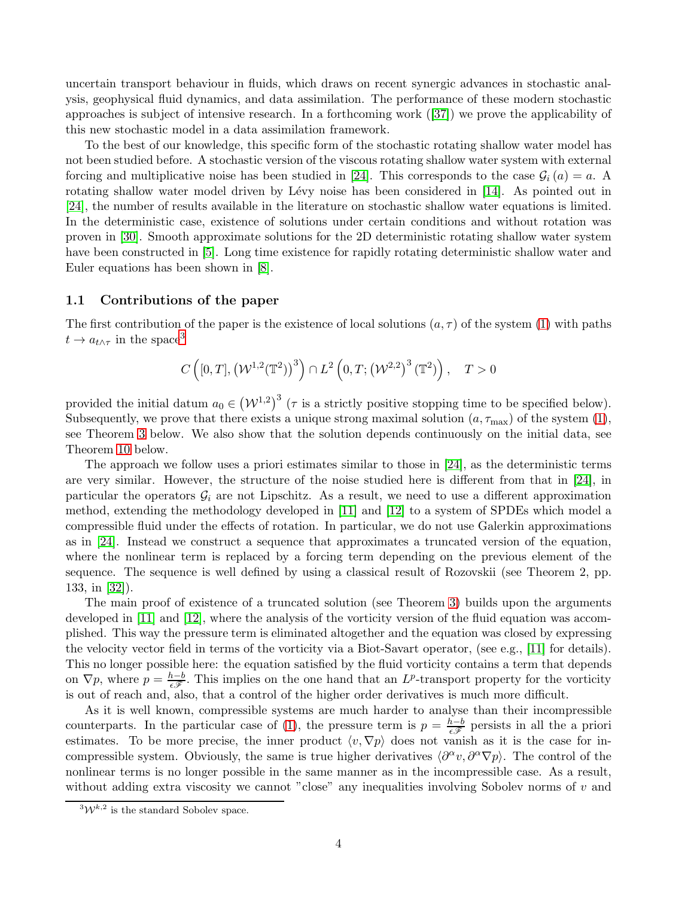uncertain transport behaviour in fluids, which draws on recent synergic advances in stochastic analysis, geophysical fluid dynamics, and data assimilation. The performance of these modern stochastic approaches is subject of intensive research. In a forthcoming work ([\[37\]](#page-29-1)) we prove the applicability of this new stochastic model in a data assimilation framework.

To the best of our knowledge, this specific form of the stochastic rotating shallow water model has not been studied before. A stochastic version of the viscous rotating shallow water system with external forcing and multiplicative noise has been studied in [\[24\]](#page-28-11). This corresponds to the case  $\mathcal{G}_i(a) = a$ . A rotating shallow water model driven by Lévy noise has been considered in [\[14\]](#page-27-11). As pointed out in [\[24\]](#page-28-11), the number of results available in the literature on stochastic shallow water equations is limited. In the deterministic case, existence of solutions under certain conditions and without rotation was proven in [\[30\]](#page-28-12). Smooth approximate solutions for the 2D deterministic rotating shallow water system have been constructed in [\[5\]](#page-27-12). Long time existence for rapidly rotating deterministic shallow water and Euler equations has been shown in [\[8\]](#page-27-7).

#### <span id="page-3-0"></span>1.1 Contributions of the paper

The first contribution of the paper is the existence of local solutions  $(a, \tau)$  of the system [\(1\)](#page-2-2) with paths  $t \to a_{t \wedge \tau}$  in the space<sup>[3](#page-3-1)</sup>

$$
C\left([0,T], \left(\mathcal{W}^{1,2}(\mathbb{T}^2)\right)^3\right) \cap L^2\left(0,T;\left(\mathcal{W}^{2,2}\right)^3(\mathbb{T}^2)\right), \quad T > 0
$$

provided the initial datum  $a_0 \in (\mathcal{W}^{1,2})^3$  ( $\tau$  is a strictly positive stopping time to be specified below). Subsequently, we prove that there exists a unique strong maximal solution  $(a, \tau_{\text{max}})$  of the system [\(1\)](#page-2-2), see Theorem [3](#page-7-2) below. We also show that the solution depends continuously on the initial data, see Theorem [10](#page-11-1) below.

The approach we follow uses a priori estimates similar to those in [\[24\]](#page-28-11), as the deterministic terms are very similar. However, the structure of the noise studied here is different from that in [\[24\]](#page-28-11), in particular the operators  $\mathcal{G}_i$  are not Lipschitz. As a result, we need to use a different approximation method, extending the methodology developed in [\[11\]](#page-27-13) and [\[12\]](#page-27-14) to a system of SPDEs which model a compressible fluid under the effects of rotation. In particular, we do not use Galerkin approximations as in [\[24\]](#page-28-11). Instead we construct a sequence that approximates a truncated version of the equation, where the nonlinear term is replaced by a forcing term depending on the previous element of the sequence. The sequence is well defined by using a classical result of Rozovskii (see Theorem 2, pp. 133, in [\[32\]](#page-28-13)).

The main proof of existence of a truncated solution (see Theorem [3\)](#page-7-1) builds upon the arguments developed in [\[11\]](#page-27-13) and [\[12\]](#page-27-14), where the analysis of the vorticity version of the fluid equation was accomplished. This way the pressure term is eliminated altogether and the equation was closed by expressing the velocity vector field in terms of the vorticity via a Biot-Savart operator, (see e.g., [\[11\]](#page-27-13) for details). This no longer possible here: the equation satisfied by the fluid vorticity contains a term that depends on  $\nabla p$ , where  $p = \frac{h-b}{\epsilon \mathscr{F}}$ . This implies on the one hand that an  $L^p$ -transport property for the vorticity is out of reach and, also, that a control of the higher order derivatives is much more difficult.

As it is well known, compressible systems are much harder to analyse than their incompressible counterparts. In the particular case of [\(1\)](#page-2-2), the pressure term is  $p = \frac{h-b}{\epsilon \mathscr{F}}$  persists in all the a priori estimates. To be more precise, the inner product  $\langle v, \nabla p \rangle$  does not vanish as it is the case for incompressible system. Obviously, the same is true higher derivatives  $\langle \partial^{\alpha} v, \partial^{\alpha} \nabla p \rangle$ . The control of the nonlinear terms is no longer possible in the same manner as in the incompressible case. As a result, without adding extra viscosity we cannot "close" any inequalities involving Sobolev norms of  $v$  and

<span id="page-3-1"></span> $^{3}W^{k,2}$  is the standard Sobolev space.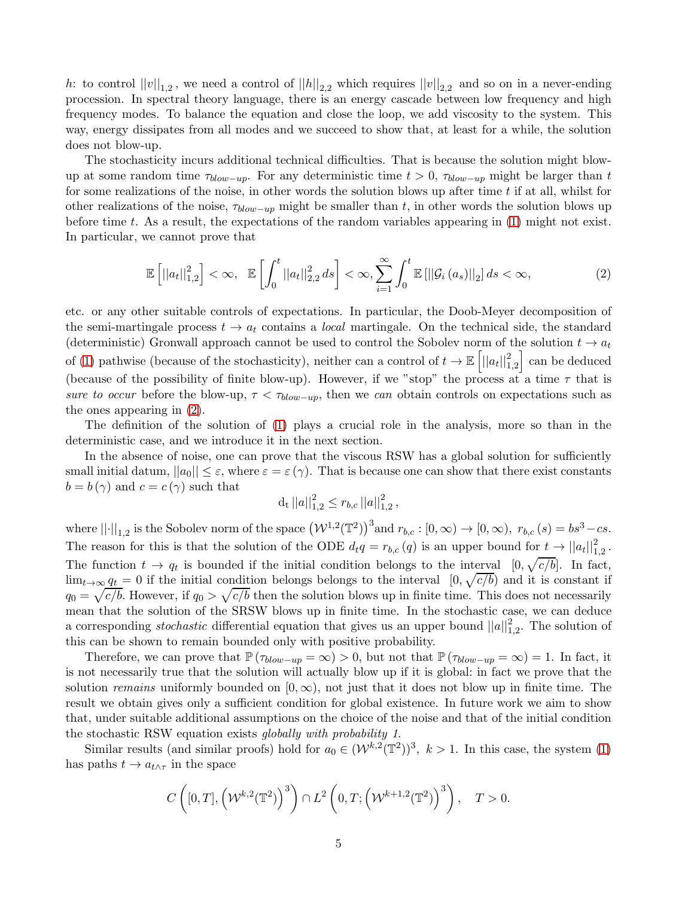h: to control  $||v||_{1,2}$ , we need a control of  $||h||_{2,2}$  which requires  $||v||_{2,2}$  and so on in a never-ending procession. In spectral theory language, there is an energy cascade between low frequency and high frequency modes. To balance the equation and close the loop, we add viscosity to the system. This way, energy dissipates from all modes and we succeed to show that, at least for a while, the solution does not blow-up.

The stochasticity incurs additional technical difficulties. That is because the solution might blowup at some random time  $\tau_{blow-up}$ . For any deterministic time  $t > 0$ ,  $\tau_{blow-up}$  might be larger than t for some realizations of the noise, in other words the solution blows up after time  $t$  if at all, whilst for other realizations of the noise,  $\tau_{blow-up}$  might be smaller than t, in other words the solution blows up before time t. As a result, the expectations of the random variables appearing in [\(1\)](#page-2-2) might not exist. In particular, we cannot prove that

<span id="page-4-0"></span>
$$
\mathbb{E}\left[||a_t||_{1,2}^2\right] < \infty, \quad \mathbb{E}\left[\int_0^t ||a_t||_{2,2}^2 ds\right] < \infty, \sum_{i=1}^{\infty} \int_0^t \mathbb{E}\left[||\mathcal{G}_i(a_s)||_2\right] ds < \infty,
$$
\n(2)

etc. or any other suitable controls of expectations. In particular, the Doob-Meyer decomposition of the semi-martingale process  $t \to a_t$  contains a *local* martingale. On the technical side, the standard (deterministic) Gronwall approach cannot be used to control the Sobolev norm of the solution  $t \to a_t$ of [\(1\)](#page-2-2) pathwise (because of the stochasticity), neither can a control of  $t \to \mathbb{E} \left[ ||a_t||_{1,2}^2 \right]$ an be deduced (because of the possibility of finite blow-up). However, if we "stop" the process at a time  $\tau$  that is sure to occur before the blow-up,  $\tau < \tau_{blow-up}$ , then we can obtain controls on expectations such as the ones appearing in [\(2\)](#page-4-0).

The definition of the solution of [\(1\)](#page-2-2) plays a crucial role in the analysis, more so than in the deterministic case, and we introduce it in the next section.

In the absence of noise, one can prove that the viscous RSW has a global solution for sufficiently small initial datum,  $||a_0|| \leq \varepsilon$ , where  $\varepsilon = \varepsilon(\gamma)$ . That is because one can show that there exist constants  $b = b(\gamma)$  and  $c = c(\gamma)$  such that

$$
d_t ||a||_{1,2}^2 \le r_{b,c} ||a||_{1,2}^2,
$$

where  $||\cdot||_{1,2}$  is the Sobolev norm of the space  $(\mathcal{W}^{1,2}(\mathbb{T}^2))^3$  and  $r_{b,c} : [0,\infty) \to [0,\infty)$ ,  $r_{b,c}(s) = bs^3 - cs$ . The reason for this is that the solution of the ODE  $d_t q = r_{b,c}(q)$  is an upper bound for  $t \to ||a_t||_{1,2}^2$ . The function  $t \to q_t$  is bounded if the initial condition belongs to the interval  $[0, \sqrt{c/b}]$ . In fact,  $\lim_{t\to\infty} q_t = 0$  if the initial condition belongs belongs to the interval  $[0, \sqrt{c/b})$  and it is constant if  $q_0 = \sqrt{c/b}$ . However, if  $q_0 > \sqrt{c/b}$  then the solution blows up in finite time. This does not necessarily mean that the solution of the SRSW blows up in finite time. In the stochastic case, we can deduce a corresponding *stochastic* differential equation that gives us an upper bound  $||a||_{1,2}^2$ . The solution of this can be shown to remain bounded only with positive probability.

Therefore, we can prove that  $\mathbb{P}(\tau_{blow-up} = \infty) > 0$ , but not that  $\mathbb{P}(\tau_{blow-up} = \infty) = 1$ . In fact, it is not necessarily true that the solution will actually blow up if it is global: in fact we prove that the solution remains uniformly bounded on  $[0, \infty)$ , not just that it does not blow up in finite time. The result we obtain gives only a sufficient condition for global existence. In future work we aim to show that, under suitable additional assumptions on the choice of the noise and that of the initial condition the stochastic RSW equation exists globally with probability 1.

Similar results (and similar proofs) hold for  $a_0 \in (\mathcal{W}^{k,2}(\mathbb{T}^2))^3$ ,  $k > 1$ . In this case, the system [\(1\)](#page-2-2) has paths  $t \to a_{t \wedge \tau}$  in the space

$$
C\left([0,T],\left(\mathcal{W}^{k,2}(\mathbb{T}^2)\right)^3\right)\cap L^2\left(0,T;\left(\mathcal{W}^{k+1,2}(\mathbb{T}^2)\right)^3\right),\quad T>0.
$$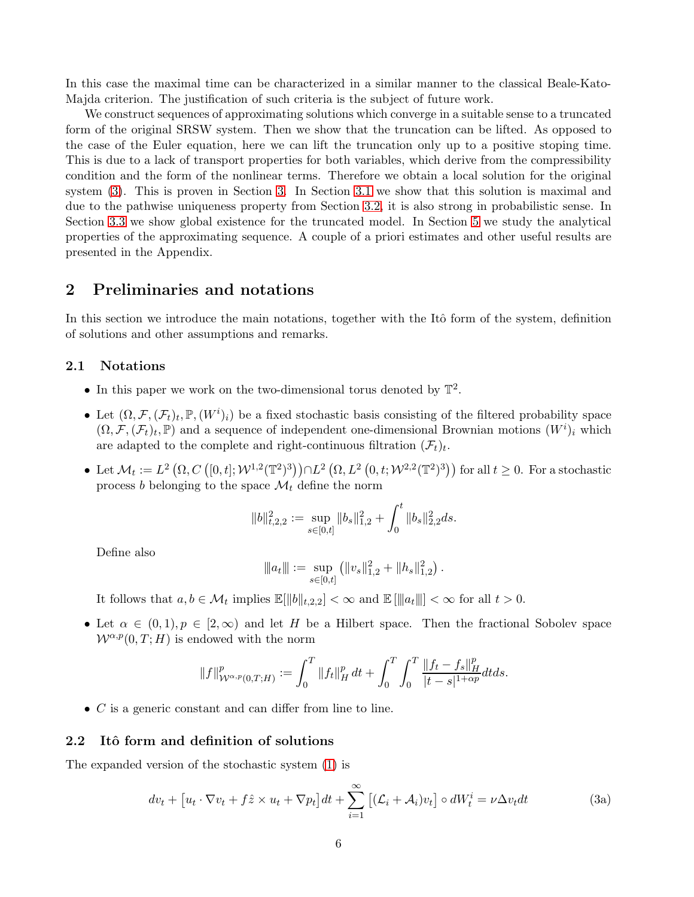In this case the maximal time can be characterized in a similar manner to the classical Beale-Kato-Majda criterion. The justification of such criteria is the subject of future work.

We construct sequences of approximating solutions which converge in a suitable sense to a truncated form of the original SRSW system. Then we show that the truncation can be lifted. As opposed to the case of the Euler equation, here we can lift the truncation only up to a positive stoping time. This is due to a lack of transport properties for both variables, which derive from the compressibility condition and the form of the nonlinear terms. Therefore we obtain a local solution for the original system [\(3\)](#page-5-3). This is proven in Section [3.](#page-7-1) In Section [3.1](#page-8-0) we show that this solution is maximal and due to the pathwise uniqueness property from Section [3.2,](#page-11-0) it is also strong in probabilistic sense. In Section [3.3](#page-13-0) we show global existence for the truncated model. In Section [5](#page-20-0) we study the analytical properties of the approximating sequence. A couple of a priori estimates and other useful results are presented in the Appendix.

### <span id="page-5-0"></span>2 Preliminaries and notations

In this section we introduce the main notations, together with the Itô form of the system, definition of solutions and other assumptions and remarks.

#### <span id="page-5-1"></span>2.1 Notations

- In this paper we work on the two-dimensional torus denoted by  $\mathbb{T}^2$ .
- Let  $(\Omega, \mathcal{F}, (\mathcal{F}_t)_t, \mathbb{P}, (W^i)_i)$  be a fixed stochastic basis consisting of the filtered probability space  $(\Omega, \mathcal{F}, (\mathcal{F}_t)_t, \mathbb{P})$  and a sequence of independent one-dimensional Brownian motions  $(W^i)_i$  which are adapted to the complete and right-continuous filtration  $(\mathcal{F}_t)_t$ .
- Let  $\mathcal{M}_t := L^2\left(\Omega, C\left([0, t]; \mathcal{W}^{1,2}(\mathbb{T}^2)^3\right)\right) \cap L^2\left(\Omega, L^2\left(0, t; \mathcal{W}^{2,2}(\mathbb{T}^2)^3\right)\right)$  for all  $t \geq 0$ . For a stochastic process b belonging to the space  $\mathcal{M}_t$  define the norm

$$
\|b\|_{t,2,2}^2:=\sup_{s\in[0,t]}\|b_s\|_{1,2}^2+\int_0^t\|b_s\|_{2,2}^2ds.
$$

Define also

$$
||u_1|| := \sup_{s \in [0,t]} (||v_s||_{1,2}^2 + ||h_s||_{1,2}^2).
$$

It follows that  $a, b \in \mathcal{M}_t$  implies  $\mathbb{E}[\|b\|_{t,2,2}] < \infty$  and  $\mathbb{E}[\|a_t\|] < \infty$  for all  $t > 0$ .

• Let  $\alpha \in (0,1), p \in [2,\infty)$  and let H be a Hilbert space. Then the fractional Sobolev space  $W^{\alpha,p}(0,T;H)$  is endowed with the norm

<span id="page-5-3"></span>
$$
||f||^p_{\mathcal{W}^{\alpha,p}(0,T;H)} := \int_0^T ||f_t||_H^p \, dt + \int_0^T \int_0^T \frac{||f_t - f_s||_H^p}{|t - s|^{1 + \alpha p}} dt ds.
$$

• C is a generic constant and can differ from line to line.

#### <span id="page-5-2"></span>2.2 Itô form and definition of solutions

The expanded version of the stochastic system [\(1\)](#page-2-2) is

$$
dv_t + [u_t \cdot \nabla v_t + f\hat{z} \times u_t + \nabla p_t]dt + \sum_{i=1}^{\infty} [(\mathcal{L}_i + \mathcal{A}_i)v_t] \circ dW_t^i = \nu \Delta v_t dt
$$
 (3a)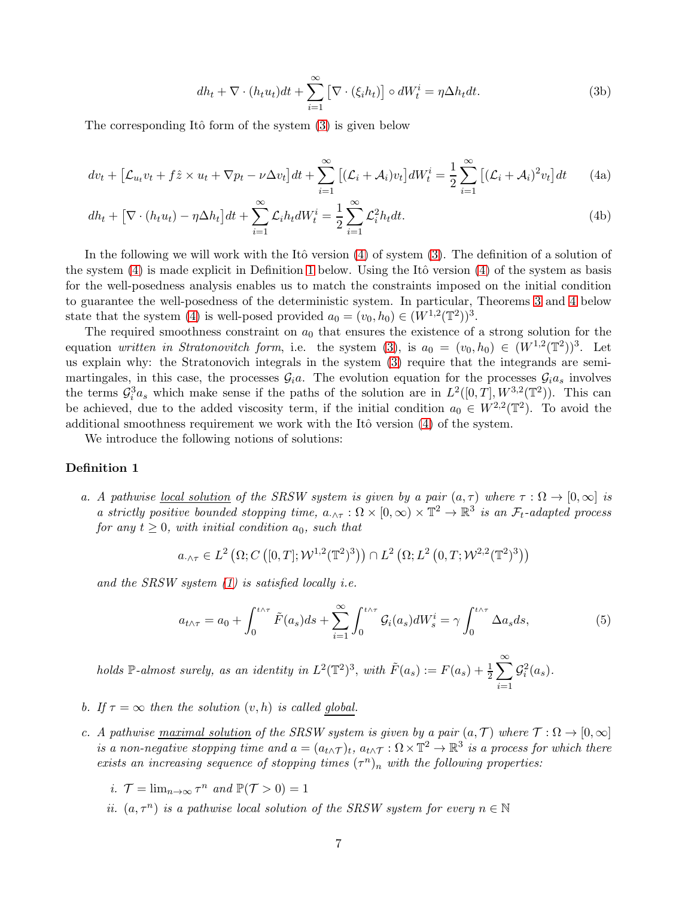$$
dh_t + \nabla \cdot (h_t u_t) dt + \sum_{i=1}^{\infty} \left[ \nabla \cdot (\xi_i h_t) \right] \circ dW_t^i = \eta \Delta h_t dt.
$$
 (3b)

<span id="page-6-0"></span>The corresponding Itô form of the system  $(3)$  is given below

$$
dv_t + \left[\mathcal{L}_{u_t}v_t + f\hat{z} \times u_t + \nabla p_t - \nu \Delta v_t\right]dt + \sum_{i=1}^{\infty} \left[ (\mathcal{L}_i + \mathcal{A}_i)v_t \right] dW_t^i = \frac{1}{2} \sum_{i=1}^{\infty} \left[ (\mathcal{L}_i + \mathcal{A}_i)^2 v_t \right] dt \tag{4a}
$$

$$
dh_t + \left[\nabla \cdot (h_t u_t) - \eta \Delta h_t\right] dt + \sum_{i=1}^{\infty} \mathcal{L}_i h_t dW_t^i = \frac{1}{2} \sum_{i=1}^{\infty} \mathcal{L}_i^2 h_t dt.
$$
\n(4b)

In the following we will work with the Itô version  $(4)$  of system  $(3)$ . The definition of a solution of the system  $(4)$  is made explicit in Definition [1](#page-6-1) below. Using the Itô version  $(4)$  of the system as basis for the well-posedness analysis enables us to match the constraints imposed on the initial condition to guarantee the well-posedness of the deterministic system. In particular, Theorems [3](#page-7-2) and [4](#page-8-1) below state that the system [\(4\)](#page-6-0) is well-posed provided  $a_0 = (v_0, h_0) \in (W^{1,2}(\mathbb{T}^2))^3$ .

The required smoothness constraint on  $a_0$  that ensures the existence of a strong solution for the equation written in Stratonovitch form, i.e. the system [\(3\)](#page-5-3), is  $a_0 = (v_0, h_0) \in (W^{1,2}(\mathbb{T}^2))^3$ . Let us explain why: the Stratonovich integrals in the system [\(3\)](#page-5-3) require that the integrands are semimartingales, in this case, the processes  $\mathcal{G}_i a$ . The evolution equation for the processes  $\mathcal{G}_i a_s$  involves the terms  $\mathcal{G}_i^3 a_s$  which make sense if the paths of the solution are in  $L^2([0,T], W^{3,2}(\mathbb{T}^2))$ . This can be achieved, due to the added viscosity term, if the initial condition  $a_0 \in W^{2,2}(\mathbb{T}^2)$ . To avoid the additional smoothness requirement we work with the Itô version  $(4)$  of the system.

<span id="page-6-1"></span>We introduce the following notions of solutions:

#### Definition 1

a. A pathwise <u>local solution</u> of the SRSW system is given by a pair  $(a, \tau)$  where  $\tau : \Omega \to [0, \infty]$  is a strictly positive bounded stopping time,  $a_{\cdot \wedge \tau} : \Omega \times [0, \infty) \times \mathbb{T}^2 \to \mathbb{R}^3$  is an  $\mathcal{F}_t$ -adapted process for any  $t \geq 0$ , with initial condition  $a_0$ , such that

$$
a_{\cdot \wedge \tau} \in L^2\left(\Omega; C\left([0, T]; \mathcal{W}^{1,2}(\mathbb{T}^2)^3\right)\right) \cap L^2\left(\Omega; L^2\left(0, T; \mathcal{W}^{2,2}(\mathbb{T}^2)^3\right)\right)
$$

and the SRSW system  $(1)$  is satisfied locally *i.e.* 

$$
a_{t\wedge\tau} = a_0 + \int_0^{t\wedge\tau} \tilde{F}(a_s)ds + \sum_{i=1}^{\infty} \int_0^{t\wedge\tau} \mathcal{G}_i(a_s) dW_s^i = \gamma \int_0^{t\wedge\tau} \Delta a_s ds,
$$
 (5)

holds  $\mathbb{P}\text{-almost surely, as an identity in } L^2(\mathbb{T}^2)^3$ , with  $\tilde{F}(a_s) := F(a_s) + \frac{1}{2} \sum_{s=1}^{\infty}$  $i=1$  $\mathcal{G}_i^2(a_s)$ .

- b. If  $\tau = \infty$  then the solution  $(v, h)$  is called global.
- c. A pathwise maximal solution of the SRSW system is given by a pair  $(a, \mathcal{T})$  where  $\mathcal{T} : \Omega \to [0, \infty]$ is a non-negative stopping time and  $a = (a_{t \wedge T})_t$ ,  $a_{t \wedge T} : \Omega \times \mathbb{T}^2 \to \mathbb{R}^3$  is a process for which there exists an increasing sequence of stopping times  $(\tau^n)_n$  with the following properties:
	- *i*.  $\mathcal{T} = \lim_{n \to \infty} \tau^n$  and  $\mathbb{P}(\mathcal{T} > 0) = 1$
	- *ii.*  $(a, \tau^n)$  *is a pathwise local solution of the SRSW system for every*  $n \in \mathbb{N}$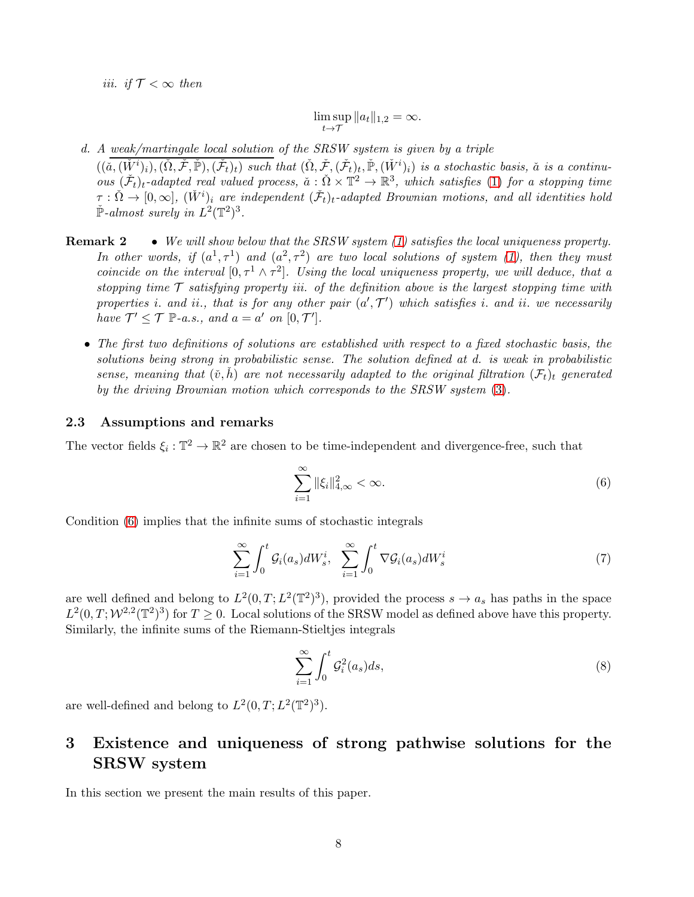iii. if  $\mathcal{T} < \infty$  then

$$
\limsup_{t \to \mathcal{T}} \|a_t\|_{1,2} = \infty.
$$

d. A weak/martingale local solution of the SRSW system is given by a triple  $((\check{a},(\check{W}^i)_i),(\check{\Omega},\check{\mathcal{F}},\check{\mathbb{P}}),(\check{\mathcal{F}}_t)_t)$  such that  $(\check{\Omega},\check{\mathcal{F}},(\check{\mathcal{F}}_t)_t,\check{\mathbb{P}},(\check{W}^i)_i)$  is a stochastic basis,  $\check{a}$  is a continuous  $(\tilde{\mathcal{F}}_t)_t$ -adapted real valued process,  $\check{a}: \check{\Omega} \times \mathbb{T}^2 \to \mathbb{R}^3$ , which satisfies [\(1\)](#page-2-2) for a stopping time  $\tau : \check{\Omega} \to [0, \infty], (\check{W}^i)_i$  are independent  $(\check{\mathcal{F}}_t)_t$ -adapted Brownian motions, and all identities hold  $\check{\mathbb{P}}$ -almost surely in  $L^2(\mathbb{T}^2)^3$ .

- **Remark 2** We will show below that the SRSW system  $(1)$  satisfies the local uniqueness property. In other words, if  $(a^1, \tau^1)$  and  $(a^2, \tau^2)$  are two local solutions of system [\(1\)](#page-2-2), then they must coincide on the interval  $[0, \tau^1 \wedge \tau^2]$ . Using the local uniqueness property, we will deduce, that a stopping time  $\mathcal T$  satisfying property iii. of the definition above is the largest stopping time with properties *i*. and *ii*., that is for any other pair  $(a', \mathcal{T}')$  which satisfies *i*. and *ii*. we necessarily have  $\mathcal{T}' \leq \mathcal{T} \ \mathbb{P}\text{-}a.s.,$  and  $a = a'$  on  $[0, \mathcal{T}']$ .
	- The first two definitions of solutions are established with respect to a fixed stochastic basis, the solutions being strong in probabilistic sense. The solution defined at d. is weak in probabilistic sense, meaning that  $(\check{v}, h)$  are not necessarily adapted to the original filtration  $(\mathcal{F}_t)_t$  generated by the driving Brownian motion which corresponds to the SRSW system [\(3\)](#page-5-3).

### <span id="page-7-0"></span>2.3 Assumptions and remarks

The vector fields  $\xi_i : \mathbb{T}^2 \to \mathbb{R}^2$  are chosen to be time-independent and divergence-free, such that

<span id="page-7-3"></span>
$$
\sum_{i=1}^{\infty} \|\xi_i\|_{4,\infty}^2 < \infty. \tag{6}
$$

Condition [\(6\)](#page-7-3) implies that the infinite sums of stochastic integrals

$$
\sum_{i=1}^{\infty} \int_0^t \mathcal{G}_i(a_s) dW_s^i, \quad \sum_{i=1}^{\infty} \int_0^t \nabla \mathcal{G}_i(a_s) dW_s^i \tag{7}
$$

are well defined and belong to  $L^2(0,T;L^2(\mathbb{T}^2)^3)$ , provided the process  $s \to a_s$  has paths in the space  $L^2(0,T; \mathcal{W}^{2,2}(\mathbb{T}^2)^3)$  for  $T \geq 0$ . Local solutions of the SRSW model as defined above have this property. Similarly, the infinite sums of the Riemann-Stieltjes integrals

<span id="page-7-2"></span>
$$
\sum_{i=1}^{\infty} \int_0^t \mathcal{G}_i^2(a_s) ds,
$$
\n(8)

are well-defined and belong to  $L^2(0,T;L^2(\mathbb{T}^2)^3)$ .

# <span id="page-7-1"></span>3 Existence and uniqueness of strong pathwise solutions for the SRSW system

In this section we present the main results of this paper.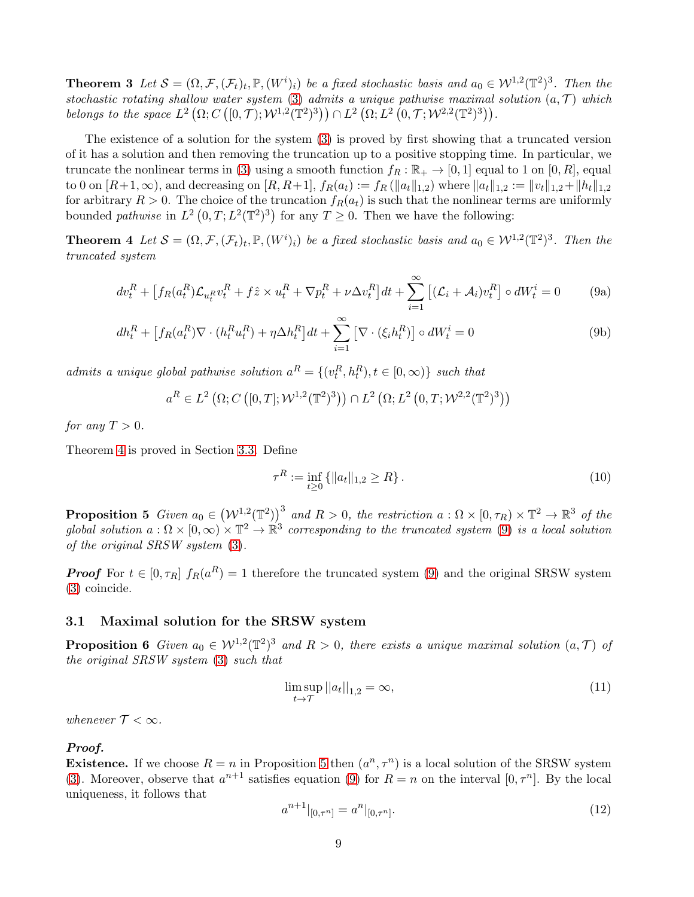**Theorem 3** Let  $S = (\Omega, \mathcal{F}, (\mathcal{F}_t)_t, \mathbb{P}, (W^i)_i)$  be a fixed stochastic basis and  $a_0 \in \mathcal{W}^{1,2}(\mathbb{T}^2)^3$ . Then the stochastic rotating shallow water system [\(3\)](#page-5-3) admits a unique pathwise maximal solution  $(a, \mathcal{T})$  which belongs to the space  $L^2(\Omega; C([0,\mathcal{T}); \mathcal{W}^{1,2}(\mathbb{T}^2)^3)) \cap L^2(\Omega; L^2(0,\mathcal{T}; \mathcal{W}^{2,2}(\mathbb{T}^2)^3)).$ 

The existence of a solution for the system [\(3\)](#page-5-3) is proved by first showing that a truncated version of it has a solution and then removing the truncation up to a positive stopping time. In particular, we truncate the nonlinear terms in [\(3\)](#page-5-3) using a smooth function  $f_R : \mathbb{R}_+ \to [0,1]$  equal to 1 on  $[0,R]$ , equal to 0 on  $[R+1,\infty)$ , and decreasing on  $[R, R+1]$ ,  $f_R(a_t) := f_R(\|a_t\|_{1,2})$  where  $\|a_t\|_{1,2} := \|v_t\|_{1,2} + \|h_t\|_{1,2}$ for arbitrary  $R > 0$ . The choice of the truncation  $f_R(a_t)$  is such that the nonlinear terms are uniformly bounded *pathwise* in  $L^2(0,T; L^2(\mathbb{T}^2)^3)$  for any  $T \geq 0$ . Then we have the following:

**Theorem 4** Let  $S = (\Omega, \mathcal{F}, (\mathcal{F}_t)_t, \mathbb{P}, (W^i)_i)$  be a fixed stochastic basis and  $a_0 \in \mathcal{W}^{1,2}(\mathbb{T}^2)^3$ . Then the truncated system

<span id="page-8-2"></span>
$$
dv_t^R + \left[ f_R(a_t^R) \mathcal{L}_{u_t^R} v_t^R + f \hat{z} \times u_t^R + \nabla p_t^R + \nu \Delta v_t^R \right] dt + \sum_{i=1}^{\infty} \left[ (\mathcal{L}_i + \mathcal{A}_i) v_t^R \right] \circ dW_t^i = 0 \tag{9a}
$$

$$
dh_t^R + \left[ f_R(a_t^R) \nabla \cdot (h_t^R u_t^R) + \eta \Delta h_t^R \right] dt + \sum_{i=1}^{\infty} \left[ \nabla \cdot (\xi_i h_t^R) \right] \circ dW_t^i = 0 \tag{9b}
$$

admits a unique global pathwise solution  $a^R = \{(v_t^R, h_t^R), t \in [0, \infty)\}\$  such that

$$
a^R \in L^2(\Omega; C([0,T]; \mathcal{W}^{1,2}(\mathbb{T}^2)^3)) \cap L^2(\Omega; L^2(0,T; \mathcal{W}^{2,2}(\mathbb{T}^2)^3))
$$

for any  $T > 0$ .

Theorem [4](#page-8-1) is proved in Section [3.3.](#page-13-0) Define

<span id="page-8-7"></span><span id="page-8-1"></span>
$$
\tau^R := \inf_{t \ge 0} \{ \|a_t\|_{1,2} \ge R \} \,. \tag{10}
$$

<span id="page-8-3"></span>**Proposition 5** Given  $a_0 \in (\mathcal{W}^{1,2}(\mathbb{T}^2))$  and  $R > 0$ , the restriction  $a : \Omega \times [0, \tau_R) \times \mathbb{T}^2 \to \mathbb{R}^3$  of the global solution  $a: \Omega \times [0, \infty) \times \mathbb{T}^2 \to \mathbb{R}^3$  corresponding to the truncated system [\(9\)](#page-8-2) is a local solution of the original SRSW system [\(3\)](#page-5-3).

**Proof** For  $t \in [0, \tau_R]$   $f_R(a^R) = 1$  therefore the truncated system [\(9\)](#page-8-2) and the original SRSW system [\(3\)](#page-5-3) coincide.

#### <span id="page-8-6"></span><span id="page-8-0"></span>3.1 Maximal solution for the SRSW system

**Proposition 6** Given  $a_0 \in W^{1,2}(\mathbb{T}^2)^3$  and  $R > 0$ , there exists a unique maximal solution  $(a, \mathcal{T})$  of the original SRSW system [\(3\)](#page-5-3) such that

<span id="page-8-5"></span>
$$
\limsup_{t \to \mathcal{T}} ||a_t||_{1,2} = \infty,\tag{11}
$$

whenever  $T < \infty$ .

### Proof.

**Existence.** If we choose  $R = n$  in Proposition [5](#page-8-3) then  $(a^n, \tau^n)$  is a local solution of the SRSW system [\(3\)](#page-5-3). Moreover, observe that  $a^{n+1}$  satisfies equation [\(9\)](#page-8-2) for  $R = n$  on the interval  $[0, \tau^n]$ . By the local uniqueness, it follows that

<span id="page-8-4"></span>
$$
a^{n+1}|_{[0,\tau^n]} = a^n|_{[0,\tau^n]}.\tag{12}
$$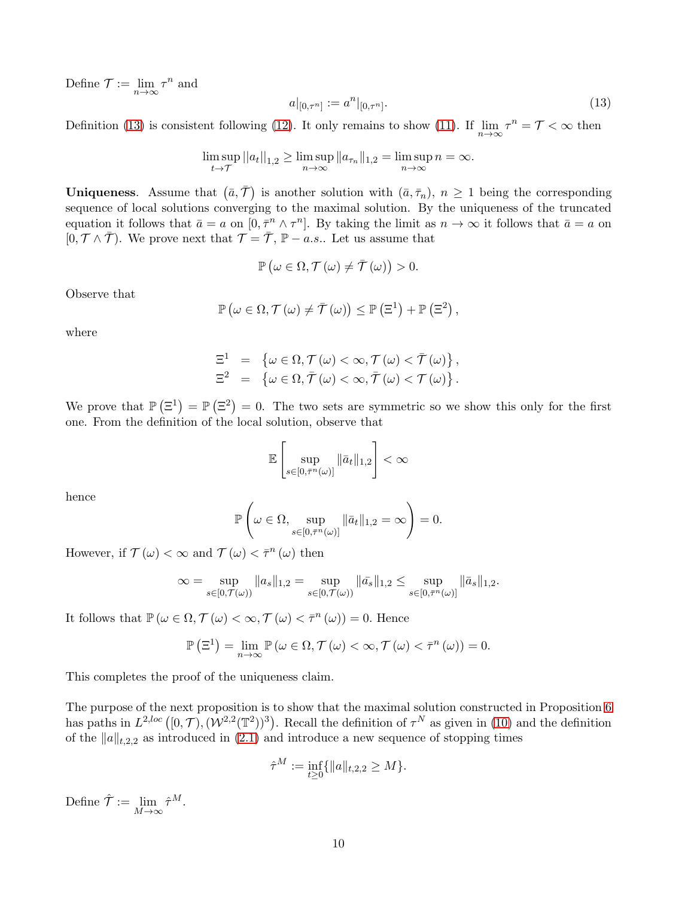Define  $\mathcal{T} := \lim_{n \to \infty} \tau^n$  and

<span id="page-9-0"></span>
$$
a|_{[0,\tau^n]} := a^n|_{[0,\tau^n]}.\tag{13}
$$

Definition [\(13\)](#page-9-0) is consistent following [\(12\)](#page-8-4). It only remains to show [\(11\)](#page-8-5). If  $\lim_{n\to\infty} \tau^n = \mathcal{T} < \infty$  then

$$
\limsup_{t \to \mathcal{T}} ||a_t||_{1,2} \ge \limsup_{n \to \infty} ||a_{\tau_n}||_{1,2} = \limsup_{n \to \infty} n = \infty.
$$

**Uniqueness.** Assume that  $(\bar{a}, \bar{\tau})$  is another solution with  $(\bar{a}, \bar{\tau}_n)$ ,  $n \geq 1$  being the corresponding sequence of local solutions converging to the maximal solution. By the uniqueness of the truncated equation it follows that  $\bar{a} = a$  on  $[0, \bar{\tau}^n \wedge \tau^n]$ . By taking the limit as  $n \to \infty$  it follows that  $\bar{a} = a$  on  $[0, \mathcal{T} \wedge \overline{\mathcal{T}})$ . We prove next that  $\mathcal{T} = \overline{\mathcal{T}}, \mathbb{P} - a.s.$ . Let us assume that

$$
\mathbb{P}\left(\omega \in \Omega, \mathcal{T}\left(\omega\right) \neq \overline{\mathcal{T}}\left(\omega\right)\right) > 0.
$$

Observe that

$$
\mathbb{P}\left(\omega \in \Omega, \mathcal{T}\left(\omega\right) \neq \overline{\mathcal{T}}\left(\omega\right)\right) \leq \mathbb{P}\left(\Xi^1\right) + \mathbb{P}\left(\Xi^2\right),
$$

where

$$
\Xi^1 = \{\omega \in \Omega, \mathcal{T}(\omega) < \infty, \mathcal{T}(\omega) < \mathcal{T}(\omega)\},
$$
  

$$
\Xi^2 = \{\omega \in \Omega, \mathcal{T}(\omega) < \infty, \mathcal{T}(\omega) < \mathcal{T}(\omega)\}.
$$

We prove that  $\mathbb{P}(\Xi^1) = \mathbb{P}(\Xi^2) = 0$ . The two sets are symmetric so we show this only for the first one. From the definition of the local solution, observe that

$$
\mathbb{E}\left[\sup_{s\in[0,\bar{\tau}^n(\omega)]}\|\bar{a}_t\|_{1,2}\right]<\infty
$$

hence

$$
\mathbb{P}\left(\omega \in \Omega, \sup_{s \in [0,\bar{\tau}^n(\omega)]} \|\bar{a}_t\|_{1,2} = \infty\right) = 0.
$$

However, if  $\mathcal{T}(\omega) < \infty$  and  $\mathcal{T}(\omega) < \bar{\tau}^n(\omega)$  then

$$
\infty = \sup_{s \in [0, \mathcal{T}(\omega))} \|a_s\|_{1,2} = \sup_{s \in [0, \mathcal{T}(\omega))} \|\bar{a}_s\|_{1,2} \leq \sup_{s \in [0, \bar{\mathcal{T}}^n(\omega)]} \|\bar{a}_s\|_{1,2}.
$$

It follows that  $\mathbb{P}\left(\omega \in \Omega, \mathcal{T}\left(\omega\right) < \infty, \mathcal{T}\left(\omega\right) < \bar{\tau}^n\left(\omega\right)\right) = 0$ . Hence

$$
\mathbb{P}\left(\Xi^1\right) = \lim_{n \to \infty} \mathbb{P}\left(\omega \in \Omega, \mathcal{T}\left(\omega\right) < \infty, \mathcal{T}\left(\omega\right) < \bar{\tau}^n\left(\omega\right)\right) = 0.
$$

This completes the proof of the uniqueness claim.

The purpose of the next proposition is to show that the maximal solution constructed in Proposition [6](#page-8-6) has paths in  $L^{2,loc}([0,\mathcal{T}),(\mathcal{W}^{2,2}(\mathbb{T}^2))^3)$ . Recall the definition of  $\tau^N$  as given in [\(10\)](#page-8-7) and the definition of the  $||a||_{t,2,2}$  as introduced in [\(2.1\)](#page-5-1) and introduce a new sequence of stopping times

$$
\hat{\tau}^M := \inf_{t \ge 0} \{ ||a||_{t,2,2} \ge M \}.
$$

<span id="page-9-1"></span>Define  $\hat{\mathcal{T}} := \lim_{M \to \infty} \hat{\tau}^M$ .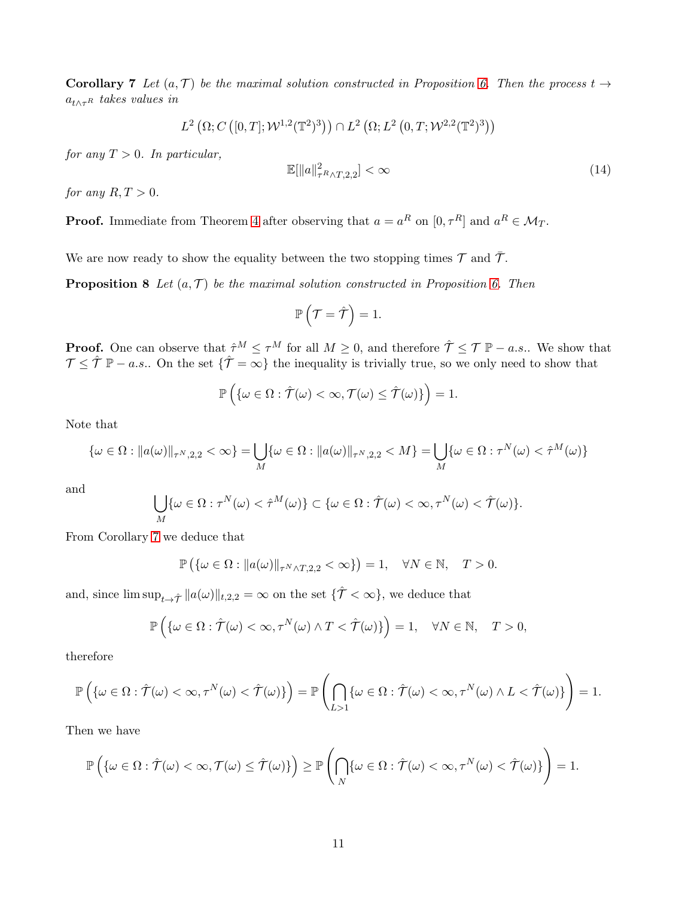**Corollary 7** Let  $(a, \mathcal{T})$  be the maximal solution constructed in Proposition [6.](#page-8-6) Then the process  $t \rightarrow$  $a_{t\wedge\tau}$  rakes values in

$$
L^{2}\left(\Omega;C\left([0,T];\mathcal{W}^{1,2}(\mathbb{T}^{2})^{3}\right)\right)\cap L^{2}\left(\Omega;L^{2}\left(0,T;\mathcal{W}^{2,2}(\mathbb{T}^{2})^{3}\right)\right)
$$

for any  $T > 0$ . In particular,

$$
\mathbb{E}[\|a\|_{\tau R \wedge T,2,2}^2] < \infty \tag{14}
$$

for any  $R, T > 0$ .

**Proof.** Immediate from Theorem [4](#page-8-1) after observing that  $a = a^R$  on  $[0, \tau^R]$  and  $a^R \in \mathcal{M}_T$ .

We are now ready to show the equality between the two stopping times  $\mathcal T$  and  $\bar{\mathcal T}$ .

**Proposition 8** Let  $(a, \mathcal{T})$  be the maximal solution constructed in Proposition [6.](#page-8-6) Then

<span id="page-10-0"></span>
$$
\mathbb{P}\left(\mathcal{T}=\hat{\mathcal{T}}\right)=1.
$$

**Proof.** One can observe that  $\hat{\tau}^M \leq \tau^M$  for all  $M \geq 0$ , and therefore  $\hat{\mathcal{T}} \leq \mathcal{T} \mathbb{P} - a.s..$  We show that  $\mathcal{T} \leq \hat{\mathcal{T}} = a.s..$  On the set  $\{\hat{\mathcal{T}} = \infty\}$  the inequality is trivially true, so we only need to show that

$$
\mathbb{P}\left(\{\omega \in \Omega : \hat{\mathcal{T}}(\omega) < \infty, \mathcal{T}(\omega) \leq \hat{\mathcal{T}}(\omega)\}\right) = 1.
$$

Note that

$$
\{\omega \in \Omega : \|a(\omega)\|_{\tau^N,2,2} < \infty\} = \bigcup_M \{\omega \in \Omega : \|a(\omega)\|_{\tau^N,2,2} < M\} = \bigcup_M \{\omega \in \Omega : \tau^N(\omega) < \hat{\tau}^M(\omega)\}
$$

and

$$
\bigcup_{M} \{\omega \in \Omega : \tau^{N}(\omega) < \hat{\tau}^{M}(\omega)\} \subset \{\omega \in \Omega : \hat{\mathcal{T}}(\omega) < \infty, \tau^{N}(\omega) < \hat{\mathcal{T}}(\omega)\}.
$$

From Corollary [7](#page-9-1) we deduce that

$$
\mathbb{P}\left(\{\omega \in \Omega : \|a(\omega)\|_{\tau^N \wedge T,2,2} < \infty\}\right) = 1, \quad \forall N \in \mathbb{N}, \quad T > 0.
$$

and, since  $\limsup_{t\to\hat{\tau}}||a(\omega)||_{t,2,2}=\infty$  on the set  $\{\hat{\mathcal{T}}<\infty\}$ , we deduce that

$$
\mathbb{P}\left(\{\omega \in \Omega : \hat{\mathcal{T}}(\omega) < \infty, \tau^N(\omega) \land T < \hat{\mathcal{T}}(\omega)\}\right) = 1, \quad \forall N \in \mathbb{N}, \quad T > 0,
$$

therefore

$$
\mathbb{P}\left(\{\omega \in \Omega : \hat{\mathcal{T}}(\omega) < \infty, \tau^N(\omega) < \hat{\mathcal{T}}(\omega)\}\right) = \mathbb{P}\left(\bigcap_{L>1} \{\omega \in \Omega : \hat{\mathcal{T}}(\omega) < \infty, \tau^N(\omega) \wedge L < \hat{\mathcal{T}}(\omega)\}\right) = 1.
$$

Then we have

$$
\mathbb{P}\left(\{\omega \in \Omega : \hat{\mathcal{T}}(\omega) < \infty, \mathcal{T}(\omega) \leq \hat{\mathcal{T}}(\omega)\}\right) \geq \mathbb{P}\left(\bigcap_{N} \{\omega \in \Omega : \hat{\mathcal{T}}(\omega) < \infty, \tau^{N}(\omega) < \hat{\mathcal{T}}(\omega)\}\right) = 1.
$$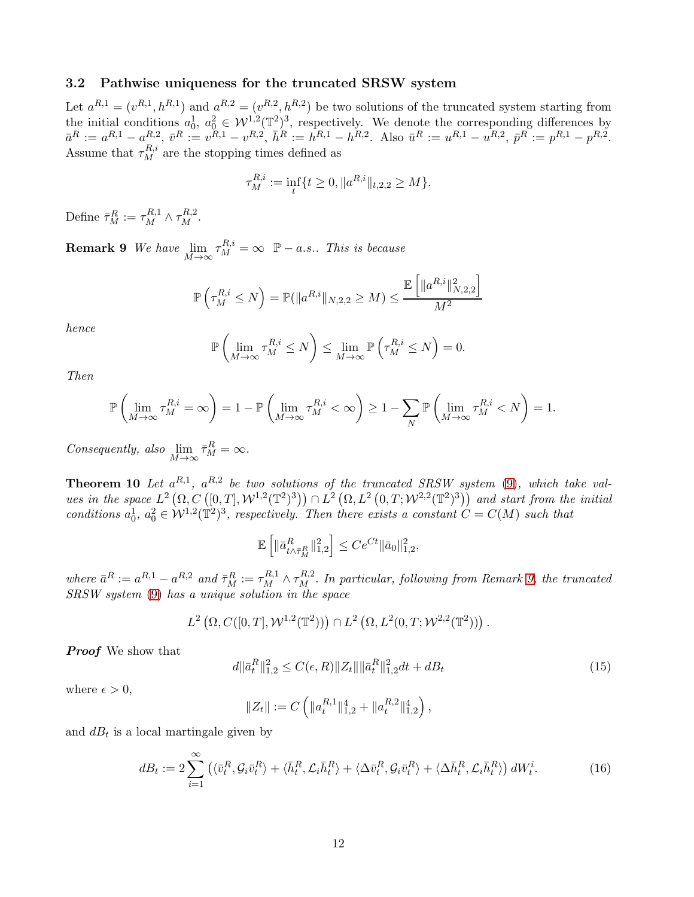#### <span id="page-11-0"></span>3.2 Pathwise uniqueness for the truncated SRSW system

Let  $a^{R,1} = (v^{R,1}, h^{R,1})$  and  $a^{R,2} = (v^{R,2}, h^{R,2})$  be two solutions of the truncated system starting from the initial conditions  $a_0^1, a_0^2 \in \mathcal{W}^{1,2}(\mathbb{T}^2)^3$ , respectively. We denote the corresponding differences by  $\bar{a}^R := a^{R,1} - a^{R,2}_{R,i}, \ \bar{v}^R := v^{R,1} - v^{R,2}, \ \bar{h}^R := h^{R,1} - h^{R,2}.$  Also  $\bar{u}^R := u^{R,1} - u^{R,2}, \ \bar{p}^R := p^{R,1} - p^{R,2}.$ Assume that  $\tau_M^{R,i}$  are the stopping times defined as

$$
\tau_M^{R,i} := \inf_t \{ t \ge 0, \|a^{R,i}\|_{t,2,2} \ge M \}.
$$

<span id="page-11-2"></span>Define  $\bar{\tau}_M^R := \tau_M^{R,1} \wedge \tau_M^{R,2}$ .

**Remark 9** We have  $\lim_{M \to \infty} \tau_M^{R,i} = \infty$   $\mathbb{P}-a.s..$  This is because

$$
\mathbb{P}\left(\tau_M^{R,i} \le N\right) = \mathbb{P}(\|a^{R,i}\|_{N,2,2} \ge M) \le \frac{\mathbb{E}\left[\|a^{R,i}\|_{N,2,2}^2\right]}{M^2}
$$

hence

$$
\mathbb{P}\left(\lim_{M\to\infty}\tau_M^{R,i}\leq N\right)\leq \lim_{M\to\infty}\mathbb{P}\left(\tau_M^{R,i}\leq N\right)=0.
$$

Then

$$
\mathbb{P}\left(\lim_{M\to\infty}\tau_M^{R,i}=\infty\right)=1-\mathbb{P}\left(\lim_{M\to\infty}\tau_M^{R,i}<\infty\right)\geq 1-\sum_N\mathbb{P}\left(\lim_{M\to\infty}\tau_M^{R,i}
$$

Consequently, also  $\lim_{M \to \infty} \bar{\tau}_M^R = \infty$ .

<span id="page-11-1"></span>**Theorem 10** Let  $a^{R,1}$ ,  $a^{R,2}$  be two solutions of the truncated SRSW system  $(9)$ , which take values in the space  $L^2(\Omega, C([0,T], W^{1,2}(\mathbb{T}^2)^3)) \cap L^2(\Omega, L^2(0,T; W^{2,2}(\mathbb{T}^2)^3))$  and start from the initial conditions  $a_0^1, a_0^2 \in W^{1,2}(\mathbb{T}^2)^3$ , respectively. Then there exists a constant  $C = C(M)$  such that

$$
\mathbb{E}\left[\|\bar{a}_{t\wedge \bar{\tau}_M^R}^R\|_{1,2}^2\right] \le Ce^{Ct}\|\bar{a}_0\|_{1,2}^2,
$$

where  $\bar{a}^R := a^{R,1} - a^{R,2}$  and  $\bar{\tau}_M^R := \tau_M^{R,1} \wedge \tau_M^{R,2}$ . In particular, following from Remark [9,](#page-11-2) the truncated SRSW system [\(9\)](#page-8-2) has a unique solution in the space

$$
L^{2}(\Omega, C([0, T], \mathcal{W}^{1,2}(\mathbb{T}^{2}))) \cap L^{2}(\Omega, L^{2}(0, T; \mathcal{W}^{2,2}(\mathbb{T}^{2}))) .
$$

**Proof** We show that

<span id="page-11-3"></span>
$$
d\|\bar{a}_t^R\|_{1,2}^2 \le C(\epsilon, R) \|Z_t\| \|\bar{a}_t^R\|_{1,2}^2 dt + dB_t \tag{15}
$$

where  $\epsilon > 0$ ,

$$
||Z_t|| := C\left(||a_t^{R,1}||_{1,2}^4 + ||a_t^{R,2}||_{1,2}^4\right),\,
$$

and  $dB_t$  is a local martingale given by

$$
dB_t := 2\sum_{i=1}^{\infty} \left( \langle \bar{v}_t^R, \mathcal{G}_i \bar{v}_t^R \rangle + \langle \bar{h}_t^R, \mathcal{L}_i \bar{h}_t^R \rangle + \langle \Delta \bar{v}_t^R, \mathcal{G}_i \bar{v}_t^R \rangle + \langle \Delta \bar{h}_t^R, \mathcal{L}_i \bar{h}_t^R \rangle \right) dW_t^i.
$$
 (16)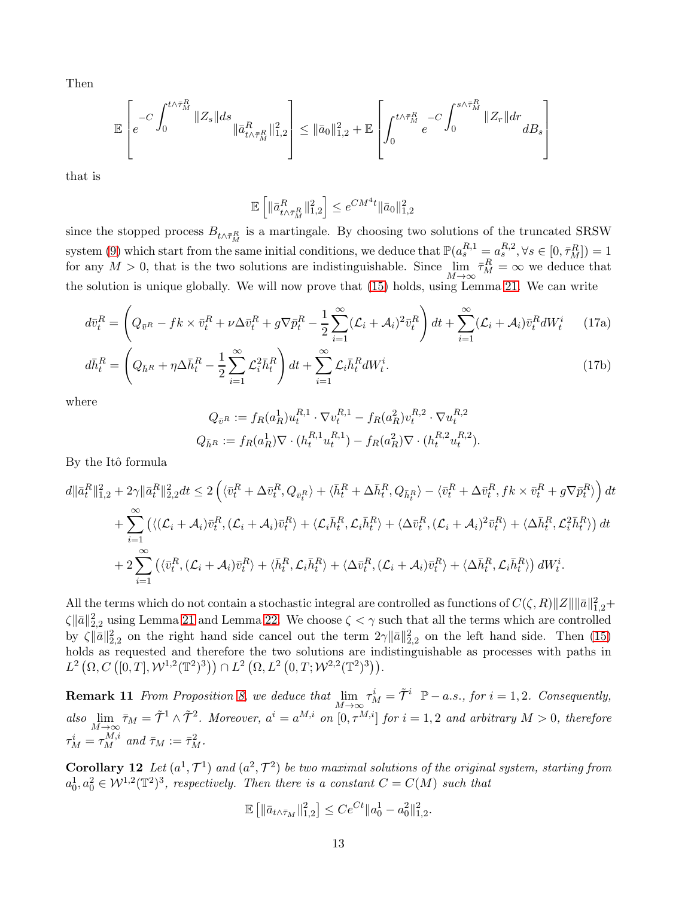Then

$$
\mathbb{E}\left[e^{-C\int_0^{t\wedge\bar{\tau}_M^R}\|Z_s\|ds}\|\bar{a}_{t\wedge\bar{\tau}_M^R}^R\|_{1,2}^2\right]\leq \|\bar{a}_0\|_{1,2}^2+\mathbb{E}\left[\int_0^{t\wedge\bar{\tau}_M^R}-C\int_0^{s\wedge\bar{\tau}_M^R}\|Z_r\|dr\,dB_s\right]
$$

that is

$$
\mathbb{E}\left[\|\bar{a}_{t\wedge \bar{\tau}_M^R}^R\|_{1,2}^2\right] \leq e^{CM^4t}\|\bar{a}_0\|_{1,2}^2
$$

since the stopped process  $B_{t \wedge \bar{\tau}_{M}^R}$  is a martingale. By choosing two solutions of the truncated SRSW system [\(9\)](#page-8-2) which start from the same initial conditions, we deduce that  $\mathbb{P}(a_s^{R,1} = a_s^{R,2}, \forall s \in [0, \bar{\tau}_M^R]) = 1$ for any  $M > 0$ , that is the two solutions are indistinguishable. Since  $\lim_{M \to \infty} \bar{\tau}_M^R = \infty$  we deduce that the solution is unique globally. We will now prove that [\(15\)](#page-11-3) holds, using Lemma [21.](#page-23-1) We can write

$$
d\bar{v}_t^R = \left(Q_{\bar{v}^R} - fk \times \bar{v}_t^R + \nu \Delta \bar{v}_t^R + g\nabla \bar{p}_t^R - \frac{1}{2} \sum_{i=1}^{\infty} (\mathcal{L}_i + \mathcal{A}_i)^2 \bar{v}_t^R\right) dt + \sum_{i=1}^{\infty} (\mathcal{L}_i + \mathcal{A}_i) \bar{v}_t^R dW_t^i \tag{17a}
$$

$$
d\bar{h}_t^R = \left(Q_{\bar{h}^R} + \eta \Delta \bar{h}_t^R - \frac{1}{2} \sum_{i=1}^{\infty} \mathcal{L}_i^2 \bar{h}_t^R\right) dt + \sum_{i=1}^{\infty} \mathcal{L}_i \bar{h}_t^R dW_t^i.
$$
 (17b)

where

$$
Q_{\bar{v}^R} := f_R(a_R^1) u_t^{R,1} \cdot \nabla v_t^{R,1} - f_R(a_R^2) v_t^{R,2} \cdot \nabla u_t^{R,2}
$$
  

$$
Q_{\bar{h}^R} := f_R(a_R^1) \nabla \cdot (h_t^{R,1} u_t^{R,1}) - f_R(a_R^2) \nabla \cdot (h_t^{R,2} u_t^{R,2}).
$$

By the Itô formula

$$
d\|\bar{a}_t^R\|_{1,2}^2 + 2\gamma \|\bar{a}_t^R\|_{2,2}^2 dt \le 2\left(\langle \bar{v}_t^R + \Delta \bar{v}_t^R, Q_{\bar{v}_t^R} \rangle + \langle \bar{h}_t^R + \Delta \bar{h}_t^R, Q_{\bar{h}_t^R} \rangle - \langle \bar{v}_t^R + \Delta \bar{v}_t^R, fk \times \bar{v}_t^R + g\nabla \bar{p}_t^R \rangle\right) dt + \sum_{i=1}^{\infty} \left( \langle (\mathcal{L}_i + \mathcal{A}_i)\bar{v}_t^R, (\mathcal{L}_i + \mathcal{A}_i)\bar{v}_t^R \rangle + \langle \mathcal{L}_i\bar{h}_t^R, \mathcal{L}_i\bar{h}_t^R \rangle + \langle \Delta \bar{v}_t^R, (\mathcal{L}_i + \mathcal{A}_i)^2 \bar{v}_t^R \rangle + \langle \Delta \bar{h}_t^R, \mathcal{L}_i^2 \bar{h}_t^R \rangle \right) dt + 2 \sum_{i=1}^{\infty} \left( \langle \bar{v}_t^R, (\mathcal{L}_i + \mathcal{A}_i)\bar{v}_t^R \rangle + \langle \bar{h}_t^R, \mathcal{L}_i\bar{h}_t^R \rangle + \langle \Delta \bar{v}_t^R, (\mathcal{L}_i + \mathcal{A}_i)\bar{v}_t^R \rangle + \langle \Delta \bar{h}_t^R, \mathcal{L}_i\bar{h}_t^R \rangle \right) dW_t^i.
$$

All the terms which do not contain a stochastic integral are controlled as functions of  $C(\zeta, R) \|Z\| \|\bar{a}\|_{1,2}^2 +$  $\zeta \|\bar{a}\|_{2,2}^2$  using Lemma [21](#page-23-1) and Lemma [22.](#page-24-0) We choose  $\zeta < \gamma$  such that all the terms which are controlled by  $\zeta \|\bar{a}\|_{2,2}^2$  on the right hand side cancel out the term  $2\gamma \|\bar{a}\|_{2,2}^2$  on the left hand side. Then [\(15\)](#page-11-3) holds as requested and therefore the two solutions are indistinguishable as processes with paths in  $L^{2}(\Omega, C([0,T], \mathcal{W}^{1,2}(\mathbb{T}^{2})^{3})) \cap L^{2}(\Omega, L^{2}(0,T; \mathcal{W}^{2,2}(\mathbb{T}^{2})^{3})).$ 

<span id="page-12-0"></span>**Remark 11** From Proposition [8,](#page-10-0) we deduce that  $\lim_{M\to\infty} \tau_M^i = \tilde{\mathcal{T}}^i$   $\mathbb{P}-a.s.,$  for  $i = 1,2$ . Consequently, also  $\lim_{M\to\infty} \bar{\tau}_M = \tilde{\mathcal{T}}^1 \wedge \tilde{\mathcal{T}}^2$ . Moreover,  $a^i = a^{M,i}$  on  $[0, \tau^{M,i}]$  for  $i = 1, 2$  and arbitrary  $M > 0$ , therefore  $\tau_M^i = \tau_M^{M,i}$  and  $\bar{\tau}_M := \bar{\tau}_M^2$ .

**Corollary 12** Let  $(a^1, \mathcal{T}^1)$  and  $(a^2, \mathcal{T}^2)$  be two maximal solutions of the original system, starting from  $a_0^1, a_0^2 \in \mathcal{W}^{1,2}(\mathbb{T}^2)^3$ , respectively. Then there is a constant  $C = C(M)$  such that

$$
\mathbb{E}\left[\|\bar{a}_{t\wedge\bar{\tau}_M}\|_{1,2}^2\right] \le Ce^{Ct} \|a_0^1 - a_0^2\|_{1,2}^2.
$$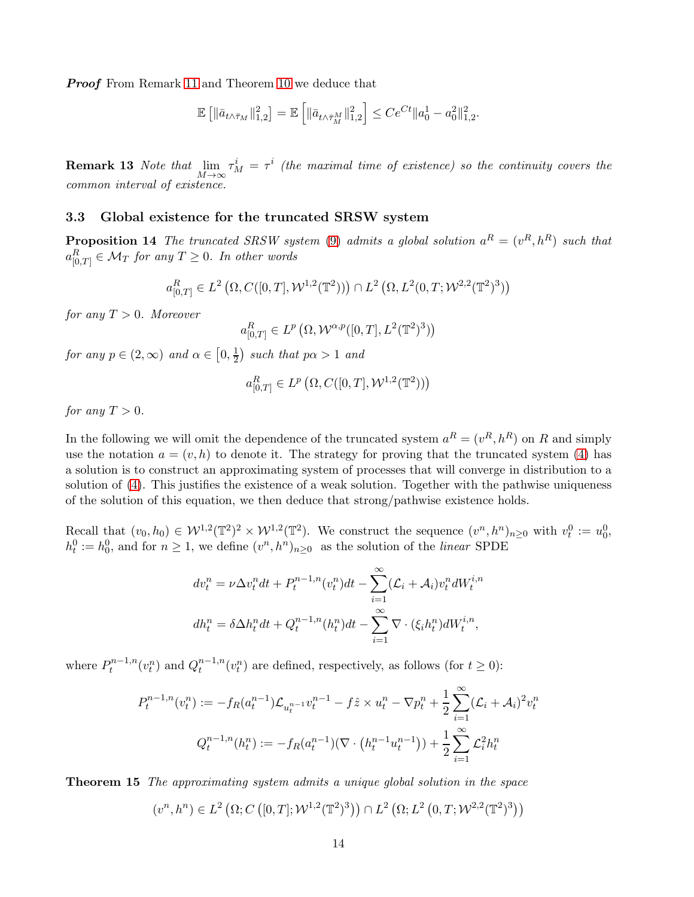**Proof** From Remark [11](#page-12-0) and Theorem [10](#page-11-1) we deduce that

$$
\mathbb{E}\left[\|\bar{a}_{t\wedge\bar{\tau}_M}\|_{1,2}^2\right] = \mathbb{E}\left[\|\bar{a}_{t\wedge\bar{\tau}_M^M}\|_{1,2}^2\right] \le Ce^{Ct} \|a_0^1 - a_0^2\|_{1,2}^2.
$$

**Remark 13** Note that  $\lim_{M\to\infty} \tau_M^i = \tau^i$  (the maximal time of existence) so the continuity covers the common interval of existence.

### <span id="page-13-1"></span><span id="page-13-0"></span>3.3 Global existence for the truncated SRSW system

**Proposition 14** The truncated SRSW system [\(9\)](#page-8-2) admits a global solution  $a^R = (v^R, h^R)$  such that  $a^R_{[0,T]} \in \mathcal M_T$  for any  $T \geq 0$ . In other words

$$
a^R_{[0,T]}\in L^2\left(\Omega, C([0,T],\mathcal{W}^{1,2}(\mathbb{T}^2))\right)\cap L^2\left(\Omega,L^2(0,T;\mathcal{W}^{2,2}(\mathbb{T}^2)^3)\right)
$$

for any  $T > 0$ . Moreover

$$
a^R_{[0,T]} \in L^p\left(\Omega, \mathcal{W}^{\alpha, p}([0,T], L^2(\mathbb{T}^2)^3)\right)
$$

for any  $p \in (2, \infty)$  and  $\alpha \in [0, \frac{1}{2}]$  $\frac{1}{2}$ ) such that  $p\alpha > 1$  and

$$
a_{[0,T]}^R \in L^p\left(\Omega, C([0,T], \mathcal{W}^{1,2}(\mathbb{T}^2))\right)
$$

for any  $T > 0$ .

In the following we will omit the dependence of the truncated system  $a^R = (v^R, h^R)$  on R and simply use the notation  $a = (v, h)$  to denote it. The strategy for proving that the truncated system [\(4\)](#page-8-1) has a solution is to construct an approximating system of processes that will converge in distribution to a solution of [\(4\)](#page-8-1). This justifies the existence of a weak solution. Together with the pathwise uniqueness of the solution of this equation, we then deduce that strong/pathwise existence holds.

Recall that  $(v_0, h_0) \in \mathcal{W}^{1,2}(\mathbb{T}^2)^2 \times \mathcal{W}^{1,2}(\mathbb{T}^2)$ . We construct the sequence  $(v^n, h^n)_{n \geq 0}$  with  $v_t^0 := u_0^0$ ,  $h_t^0 := h_0^0$ , and for  $n \geq 1$ , we define  $(v^n, h^n)_{n \geq 0}$  as the solution of the *linear* SPDE

$$
dv_t^n = \nu \Delta v_t^n dt + P_t^{n-1,n}(v_t^n) dt - \sum_{i=1}^{\infty} (\mathcal{L}_i + \mathcal{A}_i) v_t^n dW_t^{i,n}
$$

$$
dh_t^n = \delta \Delta h_t^n dt + Q_t^{n-1,n}(h_t^n) dt - \sum_{i=1}^{\infty} \nabla \cdot (\xi_i h_t^n) dW_t^{i,n},
$$

where  $P_t^{n-1,n}$  $Q_t^{n-1,n}(v_t^n)$  and  $Q_t^{n-1,n}$  $t^{n-1,n}_t(v_t^n)$  are defined, respectively, as follows (for  $t \geq 0$ ):

$$
P_t^{n-1,n}(v_t^n) := -f_R(a_t^{n-1}) \mathcal{L}_{u_t^{n-1}} v_t^{n-1} - f\hat{z} \times u_t^n - \nabla p_t^n + \frac{1}{2} \sum_{i=1}^{\infty} (\mathcal{L}_i + \mathcal{A}_i)^2 v_t^n
$$

$$
Q_t^{n-1,n}(h_t^n) := -f_R(a_t^{n-1})(\nabla \cdot \left(h_t^{n-1} u_t^{n-1}\right)) + \frac{1}{2} \sum_{i=1}^{\infty} \mathcal{L}_i^2 h_t^n
$$

<span id="page-13-2"></span>Theorem 15 The approximating system admits a unique global solution in the space

$$
(v^n, h^n) \in L^2(\Omega; C([0, T]; \mathcal{W}^{1,2}(\mathbb{T}^2)^3)) \cap L^2(\Omega; L^2(0, T; \mathcal{W}^{2,2}(\mathbb{T}^2)^3))
$$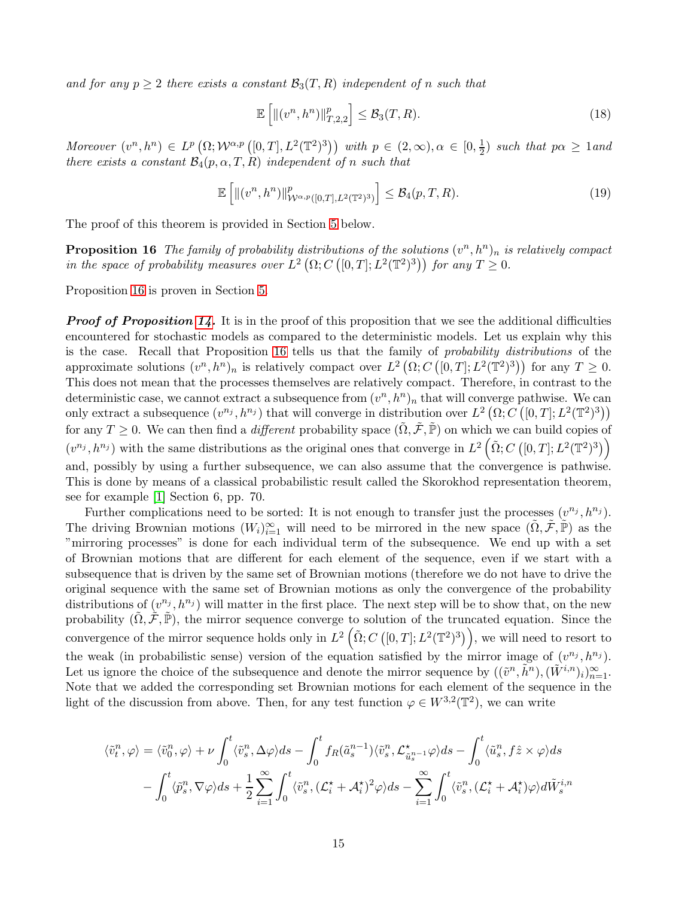and for any  $p \geq 2$  there exists a constant  $\mathcal{B}_3(T, R)$  independent of n such that

<span id="page-14-1"></span><span id="page-14-0"></span>
$$
\mathbb{E}\left[\left\|(v^n,h^n)\right\|_{T,2,2}^p\right] \leq \mathcal{B}_3(T,R). \tag{18}
$$

Moreover  $(v^n, h^n) \in L^p(\Omega; \mathcal{W}^{\alpha, p}([0,T], L^2(\mathbb{T}^2)^3))$  with  $p \in (2,\infty), \alpha \in [0, \frac{1}{2})$  $(\frac{1}{2})$  such that  $p\alpha \geq 1$  and there exists a constant  $\mathcal{B}_4(p, \alpha, T, R)$  independent of n such that

$$
\mathbb{E}\left[\left\|(v^n,h^n)\right\|^p_{\mathcal{W}^{\alpha,p}([0,T],L^2(\mathbb{T}^2)^3)}\right] \leq \mathcal{B}_4(p,T,R). \tag{19}
$$

The proof of this theorem is provided in Section [5](#page-20-0) below.

**Proposition 16** The family of probability distributions of the solutions  $(v^n, h^n)_n$  is relatively compact in the space of probability measures over  $L^2(\Omega; C([0,T]; L^2(\mathbb{T}^2)^3))$  for any  $T \geq 0$ .

Proposition [16](#page-14-0) is proven in Section [5.](#page-20-0)

**Proof of Proposition [14.](#page-13-1)** It is in the proof of this proposition that we see the additional difficulties encountered for stochastic models as compared to the deterministic models. Let us explain why this is the case. Recall that Proposition [16](#page-14-0) tells us that the family of probability distributions of the approximate solutions  $(v^n, h^n)_n$  is relatively compact over  $L^2(\Omega; C([0,T]; L^2(\mathbb{T}^2)^3))$  for any  $T \geq 0$ . This does not mean that the processes themselves are relatively compact. Therefore, in contrast to the deterministic case, we cannot extract a subsequence from  $(v^n, h^n)_n$  that will converge pathwise. We can only extract a subsequence  $(v^{n_j}, h^{n_j})$  that will converge in distribution over  $L^2(\Omega; C([0,T]; L^2(\mathbb{T}^2)^3))$ for any  $T \geq 0$ . We can then find a *different* probability space  $(\tilde{\Omega}, \tilde{\mathcal{F}}, \tilde{\mathbb{P}})$  on which we can build copies of  $(v^{n_j}, h^{n_j})$  with the same distributions as the original ones that converge in  $L^2(\tilde{\Omega}; C([0,T]; L^2(\mathbb{T}^2)^3))$ and, possibly by using a further subsequence, we can also assume that the convergence is pathwise. This is done by means of a classical probabilistic result called the Skorokhod representation theorem, see for example [\[1\]](#page-26-1) Section 6, pp. 70.

Further complications need to be sorted: It is not enough to transfer just the processes  $(v^{n_j}, h^{n_j})$ . The driving Brownian motions  $(W_i)_{i=1}^{\infty}$  will need to be mirrored in the new space  $(\tilde{\Omega}, \tilde{\mathcal{F}}, \tilde{\mathbb{P}})$  as the "mirroring processes" is done for each individual term of the subsequence. We end up with a set of Brownian motions that are different for each element of the sequence, even if we start with a subsequence that is driven by the same set of Brownian motions (therefore we do not have to drive the original sequence with the same set of Brownian motions as only the convergence of the probability distributions of  $(v^{n_j}, h^{n_j})$  will matter in the first place. The next step will be to show that, on the new probability  $(\Omega, \mathcal{F}, \mathbb{P})$ , the mirror sequence converge to solution of the truncated equation. Since the convergence of the mirror sequence holds only in  $L^2(\tilde{\Omega}; C([0,T]; L^2(\mathbb{T}^2)^3)),$  we will need to resort to the weak (in probabilistic sense) version of the equation satisfied by the mirror image of  $(v^{n_j}, h^{n_j})$ . Let us ignore the choice of the subsequence and denote the mirror sequence by  $((\tilde{v}^n, \tilde{h}^n),(\tilde{W}^{i,n})_i)_{n=1}^{\infty}$ . Note that we added the corresponding set Brownian motions for each element of the sequence in the light of the discussion from above. Then, for any test function  $\varphi \in W^{3,2}(\mathbb{T}^2)$ , we can write

$$
\langle \tilde{v}_t^n, \varphi \rangle = \langle \tilde{v}_0^n, \varphi \rangle + \nu \int_0^t \langle \tilde{v}_s^n, \Delta \varphi \rangle ds - \int_0^t f_R(\tilde{a}_s^{n-1}) \langle \tilde{v}_s^n, \mathcal{L}_{\tilde{u}_s^{n-1}}^{\star} \varphi \rangle ds - \int_0^t \langle \tilde{u}_s^n, f \hat{z} \times \varphi \rangle ds
$$
  
- 
$$
\int_0^t \langle \tilde{p}_s^n, \nabla \varphi \rangle ds + \frac{1}{2} \sum_{i=1}^\infty \int_0^t \langle \tilde{v}_s^n, (\mathcal{L}_i^{\star} + \mathcal{A}_i^{\star})^2 \varphi \rangle ds - \sum_{i=1}^\infty \int_0^t \langle \tilde{v}_s^n, (\mathcal{L}_i^{\star} + \mathcal{A}_i^{\star}) \varphi \rangle d\tilde{W}_s^{i,n}
$$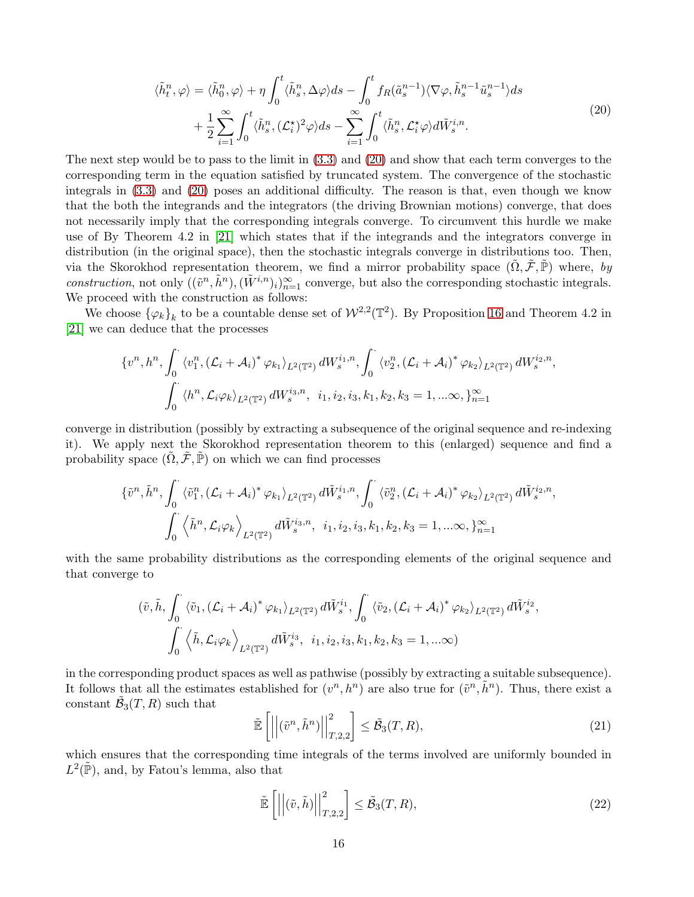<span id="page-15-0"></span>
$$
\langle \tilde{h}_t^n, \varphi \rangle = \langle \tilde{h}_0^n, \varphi \rangle + \eta \int_0^t \langle \tilde{h}_s^n, \Delta \varphi \rangle ds - \int_0^t f_R(\tilde{a}_s^{n-1}) \langle \nabla \varphi, \tilde{h}_s^{n-1} \tilde{u}_s^{n-1} \rangle ds + \frac{1}{2} \sum_{i=1}^\infty \int_0^t \langle \tilde{h}_s^n, (\mathcal{L}_i^{\star})^2 \varphi \rangle ds - \sum_{i=1}^\infty \int_0^t \langle \tilde{h}_s^n, \mathcal{L}_i^{\star} \varphi \rangle d\tilde{W}_s^{i,n}.
$$
\n(20)

The next step would be to pass to the limit in [\(3.3\)](#page-14-0) and [\(20\)](#page-15-0) and show that each term converges to the corresponding term in the equation satisfied by truncated system. The convergence of the stochastic integrals in [\(3.3\)](#page-14-0) and [\(20\)](#page-15-0) poses an additional difficulty. The reason is that, even though we know that the both the integrands and the integrators (the driving Brownian motions) converge, that does not necessarily imply that the corresponding integrals converge. To circumvent this hurdle we make use of By Theorem 4.2 in [\[21\]](#page-28-14) which states that if the integrands and the integrators converge in distribution (in the original space), then the stochastic integrals converge in distributions too. Then, via the Skorokhod representation theorem, we find a mirror probability space  $(\Omega, \mathcal{F}, \mathbb{P})$  where, by construction, not only  $((\tilde{v}^n, \tilde{h}^n),(\tilde{W}^{i,n})_i)_{n=1}^{\infty}$  converge, but also the corresponding stochastic integrals. We proceed with the construction as follows:

We choose  $\{\varphi_k\}_k$  to be a countable dense set of  $W^{2,2}(\mathbb{T}^2)$ . By Proposition [16](#page-14-0) and Theorem 4.2 in [\[21\]](#page-28-14) we can deduce that the processes

$$
\{v^n, h^n, \int_0^\cdot \langle v_1^n, (\mathcal{L}_i + \mathcal{A}_i)^* \varphi_{k_1} \rangle_{L^2(\mathbb{T}^2)} dW_s^{i_1, n}, \int_0^\cdot \langle v_2^n, (\mathcal{L}_i + \mathcal{A}_i)^* \varphi_{k_2} \rangle_{L^2(\mathbb{T}^2)} dW_s^{i_2, n},
$$
  

$$
\int_0^\cdot \langle h^n, \mathcal{L}_i \varphi_k \rangle_{L^2(\mathbb{T}^2)} dW_s^{i_3, n}, \quad i_1, i_2, i_3, k_1, k_2, k_3 = 1, \dots \infty, \}_{n=1}^\infty
$$

converge in distribution (possibly by extracting a subsequence of the original sequence and re-indexing it). We apply next the Skorokhod representation theorem to this (enlarged) sequence and find a probability space  $(\tilde{\Omega}, \tilde{\mathcal{F}}, \tilde{\mathbb{P}})$  on which we can find processes

$$
\{\tilde{v}^n, \tilde{h}^n, \int_0^\cdot \langle \tilde{v}_1^n, (\mathcal{L}_i + \mathcal{A}_i)^* \varphi_{k_1} \rangle_{L^2(\mathbb{T}^2)} d\tilde{W}_s^{i_1, n}, \int_0^\cdot \langle \tilde{v}_2^n, (\mathcal{L}_i + \mathcal{A}_i)^* \varphi_{k_2} \rangle_{L^2(\mathbb{T}^2)} d\tilde{W}_s^{i_2, n},
$$
  

$$
\int_0^\cdot \langle \tilde{h}^n, \mathcal{L}_i \varphi_k \rangle_{L^2(\mathbb{T}^2)} d\tilde{W}_s^{i_3, n}, \quad i_1, i_2, i_3, k_1, k_2, k_3 = 1, \dots \infty, \}_{n=1}^\infty
$$

with the same probability distributions as the corresponding elements of the original sequence and that converge to

$$
(\tilde{v},\tilde{h},\int_0^{\cdot} \langle \tilde{v}_1,(\mathcal{L}_i+\mathcal{A}_i)^* \varphi_{k_1} \rangle_{L^2(\mathbb{T}^2)} d\tilde{W}_s^{i_1},\int_0^{\cdot} \langle \tilde{v}_2,(\mathcal{L}_i+\mathcal{A}_i)^* \varphi_{k_2} \rangle_{L^2(\mathbb{T}^2)} d\tilde{W}_s^{i_2},
$$

$$
\int_0^{\cdot} \langle \tilde{h},\mathcal{L}_i\varphi_k \rangle_{L^2(\mathbb{T}^2)} d\tilde{W}_s^{i_3}, i_1, i_2, i_3, k_1, k_2, k_3 = 1, ...\infty)
$$

in the corresponding product spaces as well as pathwise (possibly by extracting a suitable subsequence). It follows that all the estimates established for  $(v^n, h^n)$  are also true for  $(\tilde{v}^n, \tilde{h}^n)$ . Thus, there exist a constant  $\tilde{\mathcal{B}}_3(T,R)$  such that

$$
\tilde{\mathbb{E}}\left[\left|\left|(\tilde{v}^n, \tilde{h}^n)\right|\right|_{T,2,2}^2\right] \le \tilde{\mathcal{B}}_3(T,R),\tag{21}
$$

which ensures that the corresponding time integrals of the terms involved are uniformly bounded in  $L^2(\tilde{\mathbb{P}})$ , and, by Fatou's lemma, also that

$$
\tilde{\mathbb{E}}\left[\left|\left|(\tilde{v},\tilde{h})\right|\right|_{T,2,2}^{2}\right] \leq \tilde{\mathcal{B}}_{3}(T,R),\tag{22}
$$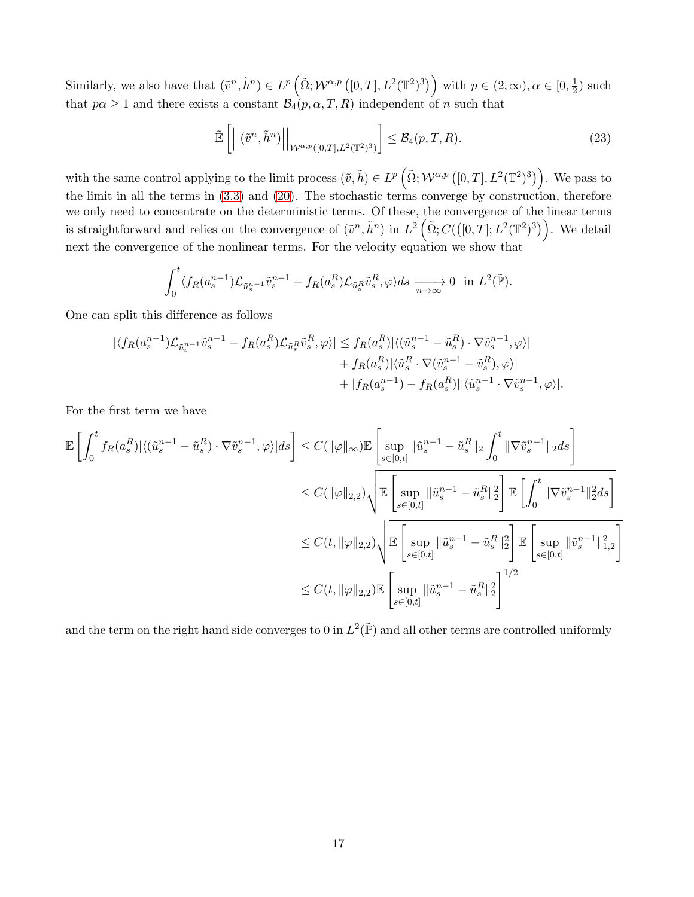Similarly, we also have that  $(\tilde{v}^n, \tilde{h}^n) \in L^p\left(\tilde{\Omega}; \mathcal{W}^{\alpha, p}([0,T], L^2(\mathbb{T}^2)^3)\right)$  with  $p \in (2,\infty), \alpha \in [0, \frac{1}{2})$  $(\frac{1}{2})$  such that  $p\alpha \ge 1$  and there exists a constant  $\mathcal{B}_4(p, \alpha, T, R)$  independent of n such that

$$
\widetilde{\mathbb{E}}\left[ \left| \left| (\tilde{v}^n, \tilde{h}^n) \right| \right|_{\mathcal{W}^{\alpha, p}([0,T], L^2(\mathbb{T}^2)^3)} \right] \leq \mathcal{B}_4(p, T, R). \tag{23}
$$

with the same control applying to the limit process  $(\tilde{v}, \tilde{h}) \in L^p\left(\tilde{\Omega}; \mathcal{W}^{\alpha, p}\left([0, T], L^2(\mathbb{T}^2)^3\right)\right)$ . We pass to the limit in all the terms in [\(3.3\)](#page-14-0) and [\(20\)](#page-15-0). The stochastic terms converge by construction, therefore we only need to concentrate on the deterministic terms. Of these, the convergence of the linear terms is straightforward and relies on the convergence of  $(\tilde{v}^n, \tilde{h}^n)$  in  $L^2(\tilde{\Omega}; C(([0,T]; L^2(T^2)^3)))$ . We detail next the convergence of the nonlinear terms. For the velocity equation we show that

$$
\int_0^t \langle f_R(a_s^{n-1}) \mathcal{L}_{\tilde{u}_s^{n-1}} \tilde{v}_s^{n-1} - f_R(a_s^R) \mathcal{L}_{\tilde{u}_s^R} \tilde{v}_s^R, \varphi \rangle ds \xrightarrow[n \to \infty]{} 0 \text{ in } L^2(\tilde{\mathbb{P}}).
$$

One can split this difference as follows

$$
\begin{split} |\langle f_R(a_s^{n-1}) \mathcal{L}_{\tilde{u}_s^{n-1}} \tilde{v}_s^{n-1} - f_R(a_s^R) \mathcal{L}_{\tilde{u}_s^R} \tilde{v}_s^R, \varphi \rangle| &\le f_R(a_s^R) |\langle (\tilde{u}_s^{n-1} - \tilde{u}_s^R) \cdot \nabla \tilde{v}_s^{n-1}, \varphi \rangle| \\ &\quad + f_R(a_s^R) |\langle \tilde{u}_s^R \cdot \nabla (\tilde{v}_s^{n-1} - \tilde{v}_s^R), \varphi \rangle| \\ &\quad + |f_R(a_s^{n-1}) - f_R(a_s^R) ||\langle \tilde{u}_s^{n-1} \cdot \nabla \tilde{v}_s^{n-1}, \varphi \rangle|. \end{split}
$$

For the first term we have

$$
\begin{split} \mathbb{E}\left[\int_{0}^{t}f_{R}(a_{s}^{R})|\langle(\tilde{u}_{s}^{n-1}-\tilde{u}_{s}^{R})\cdot\nabla\tilde{v}_{s}^{n-1},\varphi\rangle|ds\right] &\leq C(\|\varphi\|_{\infty})\mathbb{E}\left[\sup_{s\in[0,t]}\|\tilde{u}_{s}^{n-1}-\tilde{u}_{s}^{R}\|_{2}\int_{0}^{t}\|\nabla\tilde{v}_{s}^{n-1}\|_{2}ds\right] \\ &\leq C(\|\varphi\|_{2,2})\sqrt{\mathbb{E}\left[\sup_{s\in[0,t]}\|\tilde{u}_{s}^{n-1}-\tilde{u}_{s}^{R}\|_{2}^{2}\right]\mathbb{E}\left[\int_{0}^{t}\|\nabla\tilde{v}_{s}^{n-1}\|_{2}^{2}ds\right]}\\ &\leq C(t,\|\varphi\|_{2,2})\sqrt{\mathbb{E}\left[\sup_{s\in[0,t]}\|\tilde{u}_{s}^{n-1}-\tilde{u}_{s}^{R}\|_{2}^{2}\right]\mathbb{E}\left[\sup_{s\in[0,t]}\|\tilde{v}_{s}^{n-1}\|_{1,2}^{2}\right]}\\ &\leq C(t,\|\varphi\|_{2,2})\mathbb{E}\left[\sup_{s\in[0,t]}\|\tilde{u}_{s}^{n-1}-\tilde{u}_{s}^{R}\|_{2}^{2}\right]^{1/2}\end{split}
$$

and the term on the right hand side converges to 0 in  $L^2(\tilde{\mathbb{P}})$  and all other terms are controlled uniformly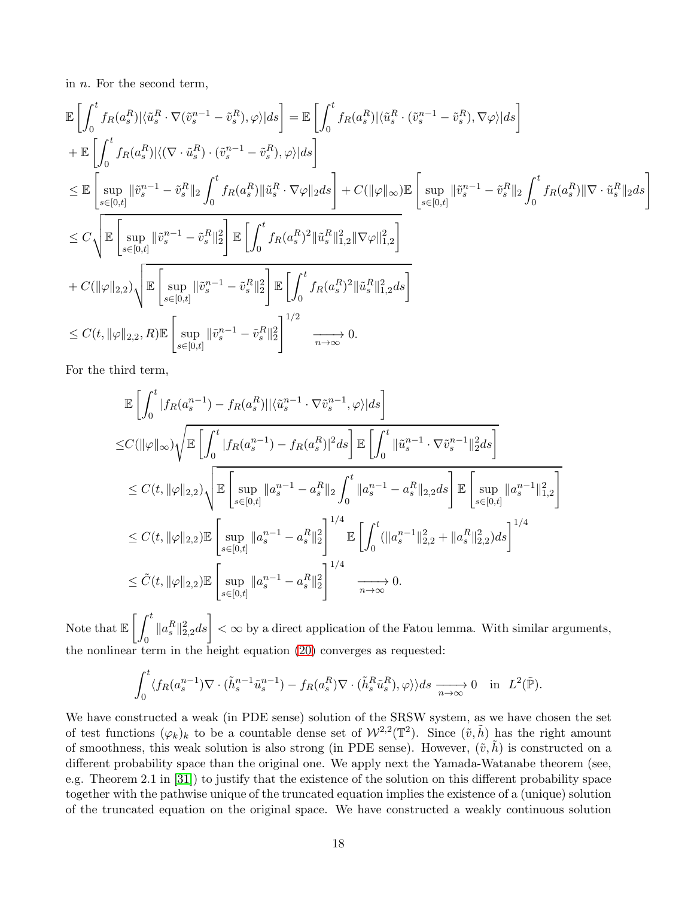in n. For the second term,

$$
\begin{split} &\mathbb{E}\left[\int_{0}^{t}f_{R}(a_{s}^{R})|\langle\tilde{u}_{s}^{R}\cdot\nabla(\tilde{v}_{s}^{n-1}-\tilde{v}_{s}^{R}),\varphi\rangle|ds\right]=\mathbb{E}\left[\int_{0}^{t}f_{R}(a_{s}^{R})|\langle\tilde{u}_{s}^{R}\cdot(\tilde{v}_{s}^{n-1}-\tilde{v}_{s}^{R}),\nabla\varphi\rangle|ds\right]\\ &+\mathbb{E}\left[\int_{0}^{t}f_{R}(a_{s}^{R})|\langle(\nabla\cdot\tilde{u}_{s}^{R})\cdot(\tilde{v}_{s}^{n-1}-\tilde{v}_{s}^{R}),\varphi\rangle|ds\right]\\ &\leq\mathbb{E}\left[\sup_{s\in[0,t]}\|\tilde{v}_{s}^{n-1}-\tilde{v}_{s}^{R}\|_{2}\int_{0}^{t}f_{R}(a_{s}^{R})\|\tilde{u}_{s}^{R}\cdot\nabla\varphi\|_{2}ds\right]+C(\|\varphi\|_{\infty})\mathbb{E}\left[\sup_{s\in[0,t]}\|\tilde{v}_{s}^{n-1}-\tilde{v}_{s}^{R}\|_{2}\int_{0}^{t}f_{R}(a_{s}^{R})\|\nabla\cdot\tilde{u}_{s}^{R}\|_{2}ds\right]\\ &\leq C\sqrt{\mathbb{E}\left[\sup_{s\in[0,t]}\|\tilde{v}_{s}^{n-1}-\tilde{v}_{s}^{R}\|_{2}^{2}\right]\mathbb{E}\left[\int_{0}^{t}f_{R}(a_{s}^{R})^{2}\|\tilde{u}_{s}^{R}\|_{1,2}^{2}\|\nabla\varphi\|_{1,2}^{2}\right]}\\ &+C(\|\varphi\|_{2,2})\sqrt{\mathbb{E}\left[\sup_{s\in[0,t]}\|\tilde{v}_{s}^{n-1}-\tilde{v}_{s}^{R}\|_{2}^{2}\right]\mathbb{E}\left[\int_{0}^{t}f_{R}(a_{s}^{R})^{2}\|\tilde{u}_{s}^{R}\|_{1,2}^{2}ds\right]}\\ &\leq C(t,\|\varphi\|_{2,2},R)\mathbb{E}\left[\sup_{s\in[0,t]}\|\tilde{v}_{s}^{n-1}-\tilde{v}_{s}^{R}\|_{2}^{2}\right]^{1/2
$$

For the third term,

$$
\mathbb{E}\left[\int_{0}^{t} |f_{R}(a_{s}^{n-1}) - f_{R}(a_{s}^{R})||\langle \tilde{u}_{s}^{n-1} \cdot \nabla \tilde{v}_{s}^{n-1}, \varphi\rangle|ds\right]
$$
\n
$$
\leq C(||\varphi||_{\infty})\sqrt{\mathbb{E}\left[\int_{0}^{t} |f_{R}(a_{s}^{n-1}) - f_{R}(a_{s}^{R})|^{2}ds\right]\mathbb{E}\left[\int_{0}^{t} ||\tilde{u}_{s}^{n-1} \cdot \nabla \tilde{v}_{s}^{n-1}||_{2}^{2}ds\right]}
$$
\n
$$
\leq C(t, ||\varphi||_{2,2})\sqrt{\mathbb{E}\left[\sup_{s\in[0,t]} ||a_{s}^{n-1} - a_{s}^{R}||_{2}\int_{0}^{t} ||a_{s}^{n-1} - a_{s}^{R}||_{2,2}ds\right]\mathbb{E}\left[\sup_{s\in[0,t]} ||a_{s}^{n-1}||_{1,2}^{2}\right]}
$$
\n
$$
\leq C(t, ||\varphi||_{2,2})\mathbb{E}\left[\sup_{s\in[0,t]} ||a_{s}^{n-1} - a_{s}^{R}||_{2}^{2}\right]^{1/4}\mathbb{E}\left[\int_{0}^{t} (||a_{s}^{n-1}||_{2,2}^{2} + ||a_{s}^{R}||_{2,2}^{2})ds\right]^{1/4}
$$
\n
$$
\leq \tilde{C}(t, ||\varphi||_{2,2})\mathbb{E}\left[\sup_{s\in[0,t]} ||a_{s}^{n-1} - a_{s}^{R}||_{2}^{2}\right]^{1/4}\xrightarrow[n\to\infty]{} 0.
$$

Note that  $\mathbb{E}\left[\,\int^t\right]$  $\int_0^t \|a_s^R\|_{2,2}^2 ds \bigg] < \infty$  by a direct application of the Fatou lemma. With similar arguments, the nonlinear term in the height equation [\(20\)](#page-15-0) converges as requested:

$$
\int_0^t \langle f_R(a_s^{n-1}) \nabla \cdot (\tilde{h}_s^{n-1} \tilde{u}_s^{n-1}) - f_R(a_s^R) \nabla \cdot (\tilde{h}_s^R \tilde{u}_s^R), \varphi \rangle ds \xrightarrow[n \to \infty]{} 0 \quad \text{in} \quad L^2(\tilde{\mathbb{P}}).
$$

We have constructed a weak (in PDE sense) solution of the SRSW system, as we have chosen the set of test functions  $(\varphi_k)_k$  to be a countable dense set of  $\mathcal{W}^{2,2}(\mathbb{T}^2)$ . Since  $(\tilde{v},\tilde{h})$  has the right amount of smoothness, this weak solution is also strong (in PDE sense). However,  $(\tilde{v}, \tilde{h})$  is constructed on a different probability space than the original one. We apply next the Yamada-Watanabe theorem (see, e.g. Theorem 2.1 in [\[31\]](#page-28-15)) to justify that the existence of the solution on this different probability space together with the pathwise unique of the truncated equation implies the existence of a (unique) solution of the truncated equation on the original space. We have constructed a weakly continuous solution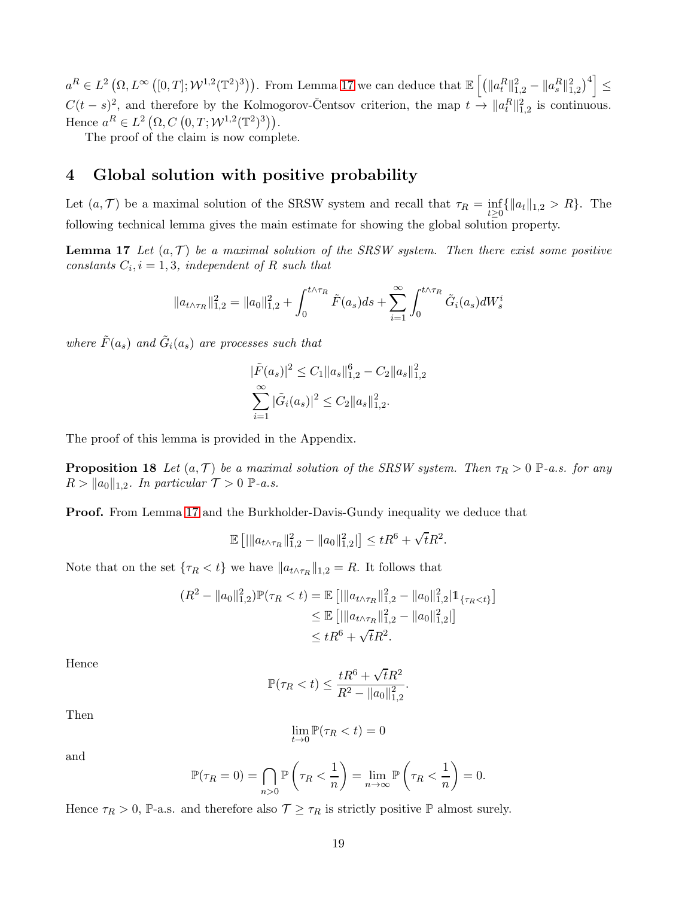$a^R \in L^2\left(\Omega, L^\infty\left([0,T]; \mathcal{W}^{1,2}(\mathbb{T}^2)^3\right)\right)$ . From Lemma [17](#page-18-1) we can deduce that  $\mathbb{E}\left[\left(\|a_t^R\|_{1,2}^2 - \|a_s^R\|_{1,2}^2\right)^4\right]$ ≤  $C(t-s)^2$ , and therefore by the Kolmogorov-Čentsov criterion, the map  $t \to \|a_t^R\|_{1,2}^2$  is continuous. Hence  $a^R \in L^2(\Omega, C(0,T; \mathcal{W}^{1,2}(\mathbb{T}^2)^3)).$ 

The proof of the claim is now complete.

# <span id="page-18-0"></span>4 Global solution with positive probability

Let  $(a, \mathcal{T})$  be a maximal solution of the SRSW system and recall that  $\tau_R = \inf_{t \geq 0} {\{\Vert a_t \Vert_{1,2} > R\}}$ . The following technical lemma gives the main estimate for showing the global solution property.

**Lemma 17** Let  $(a, \mathcal{T})$  be a maximal solution of the SRSW system. Then there exist some positive constants  $C_i$ ,  $i = 1, 3$ , independent of R such that

$$
||a_{t \wedge \tau_R}||_{1,2}^2 = ||a_0||_{1,2}^2 + \int_0^{t \wedge \tau_R} \tilde{F}(a_s)ds + \sum_{i=1}^{\infty} \int_0^{t \wedge \tau_R} \tilde{G}_i(a_s)dW_s^i
$$

where  $\tilde{F}(a_s)$  and  $\tilde{G}_i(a_s)$  are processes such that

<span id="page-18-1"></span>
$$
|\tilde{F}(a_s)|^2 \le C_1 \|a_s\|_{1,2}^6 - C_2 \|a_s\|_{1,2}^2
$$

$$
\sum_{i=1}^{\infty} |\tilde{G}_i(a_s)|^2 \le C_2 \|a_s\|_{1,2}^2.
$$

The proof of this lemma is provided in the Appendix.

**Proposition 18** Let  $(a, \mathcal{T})$  be a maximal solution of the SRSW system. Then  $\tau_R > 0$  P-a.s. for any  $R > ||a_0||_{1,2}$ . In particular  $\mathcal{T} > 0$  P-a.s.

Proof. From Lemma [17](#page-18-1) and the Burkholder-Davis-Gundy inequality we deduce that

$$
\mathbb{E}\left[|\|a_{t\wedge\tau_R}\|_{1,2}^2 - \|a_0\|_{1,2}^2|\right] \le tR^6 + \sqrt{t}R^2.
$$

Note that on the set  $\{\tau_R < t\}$  we have  $||a_{t \wedge \tau_R}||_{1,2} = R$ . It follows that

$$
(R^{2} - ||a_{0}||_{1,2}^{2})\mathbb{P}(\tau_{R} < t) = \mathbb{E} [||a_{t \wedge \tau_{R}}||_{1,2}^{2} - ||a_{0}||_{1,2}^{2}|\mathbb{1}_{\{\tau_{R} < t\}}]
$$
  
\n
$$
\leq \mathbb{E} [||a_{t \wedge \tau_{R}}||_{1,2}^{2} - ||a_{0}||_{1,2}^{2}||]
$$
  
\n
$$
\leq tR^{6} + \sqrt{t}R^{2}.
$$

Hence

$$
\mathbb{P}(\tau_R < t) \le \frac{tR^6 + \sqrt{t}R^2}{R^2 - \|a_0\|_{1,2}^2}.
$$

Then

$$
\lim_{t \to 0} \mathbb{P}(\tau_R < t) = 0
$$

and

$$
\mathbb{P}(\tau_R = 0) = \bigcap_{n>0} \mathbb{P}\left(\tau_R < \frac{1}{n}\right) = \lim_{n \to \infty} \mathbb{P}\left(\tau_R < \frac{1}{n}\right) = 0.
$$

Hence  $\tau_R > 0$ , P-a.s. and therefore also  $\tau \geq \tau_R$  is strictly positive P almost surely.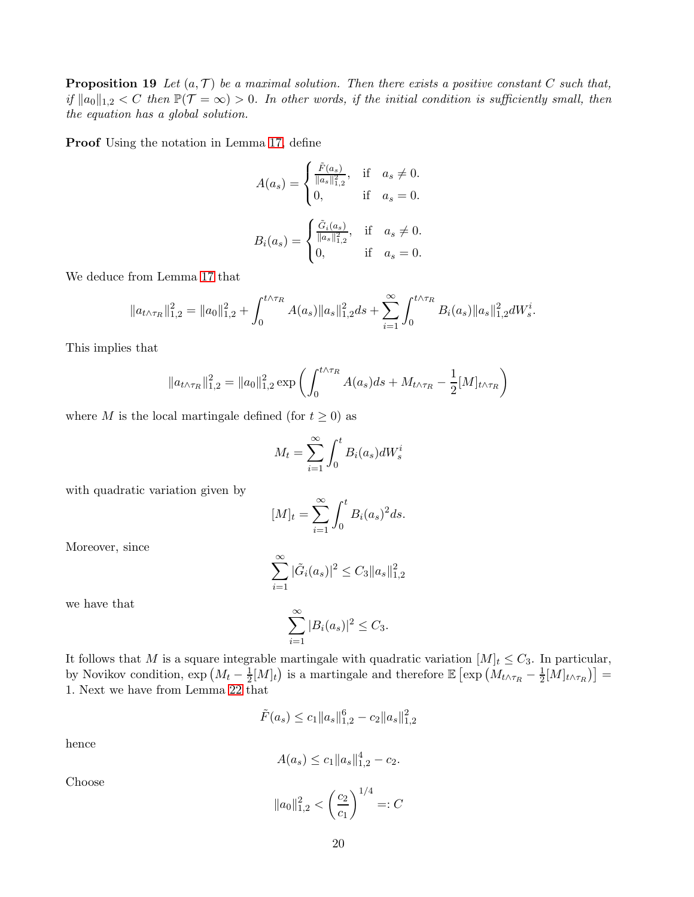**Proposition 19** Let  $(a, \mathcal{T})$  be a maximal solution. Then there exists a positive constant C such that, if  $||a_0||_{1,2} < C$  then  $\mathbb{P}(\mathcal{T} = \infty) > 0$ . In other words, if the initial condition is sufficiently small, then the equation has a global solution.

Proof Using the notation in Lemma [17,](#page-18-1) define

$$
A(a_s) = \begin{cases} \frac{\tilde{F}(a_s)}{\|a_s\|_{1,2}^2}, & \text{if } a_s \neq 0. \\ 0, & \text{if } a_s = 0. \end{cases}
$$
  

$$
B_i(a_s) = \begin{cases} \frac{\tilde{G}_i(a_s)}{\|a_s\|_{1,2}^2}, & \text{if } a_s \neq 0. \\ 0, & \text{if } a_s = 0. \end{cases}
$$

We deduce from Lemma [17](#page-18-1) that

$$
||a_{t\wedge\tau_R}||_{1,2}^2 = ||a_0||_{1,2}^2 + \int_0^{t\wedge\tau_R} A(a_s)||a_s||_{1,2}^2 ds + \sum_{i=1}^{\infty} \int_0^{t\wedge\tau_R} B_i(a_s)||a_s||_{1,2}^2 dW_s^i.
$$

This implies that

$$
||a_{t \wedge \tau_R}||_{1,2}^2 = ||a_0||_{1,2}^2 \exp \left( \int_0^{t \wedge \tau_R} A(a_s) ds + M_{t \wedge \tau_R} - \frac{1}{2} [M]_{t \wedge \tau_R} \right)
$$

where M is the local martingale defined (for  $t \geq 0$ ) as

$$
M_t = \sum_{i=1}^{\infty} \int_0^t B_i(a_s) dW_s^i
$$

with quadratic variation given by

$$
[M]_t = \sum_{i=1}^{\infty} \int_0^t B_i(a_s)^2 ds.
$$

Moreover, since

$$
\sum_{i=1}^{\infty} |\tilde{G}_i(a_s)|^2 \leq C_3 \|a_s\|_{1,2}^2
$$

we have that

$$
\sum_{i=1}^{\infty} |B_i(a_s)|^2 \le C_3.
$$

It follows that M is a square integrable martingale with quadratic variation  $[M]_t \leq C_3$ . In particular, by Novikov condition,  $\exp\left(M_t-\frac{1}{2}\right)$  $\frac{1}{2}[M]_t$ ) is a martingale and therefore  $\mathbb{E}\left[\exp\left(M_{t\wedge\tau_R}-\frac{1}{2}\right)\right]$  $\frac{1}{2}[M]_{t\wedge\tau_R}\big)\big]=$ 1. Next we have from Lemma [22](#page-24-0) that

$$
\tilde{F}(a_s) \le c_1 \|a_s\|_{1,2}^6 - c_2 \|a_s\|_{1,2}^2
$$

hence

$$
A(a_s) \le c_1 \|a_s\|_{1,2}^4 - c_2.
$$

Choose

$$
||a_0||_{1,2}^2 < \left(\frac{c_2}{c_1}\right)^{1/4} =: C
$$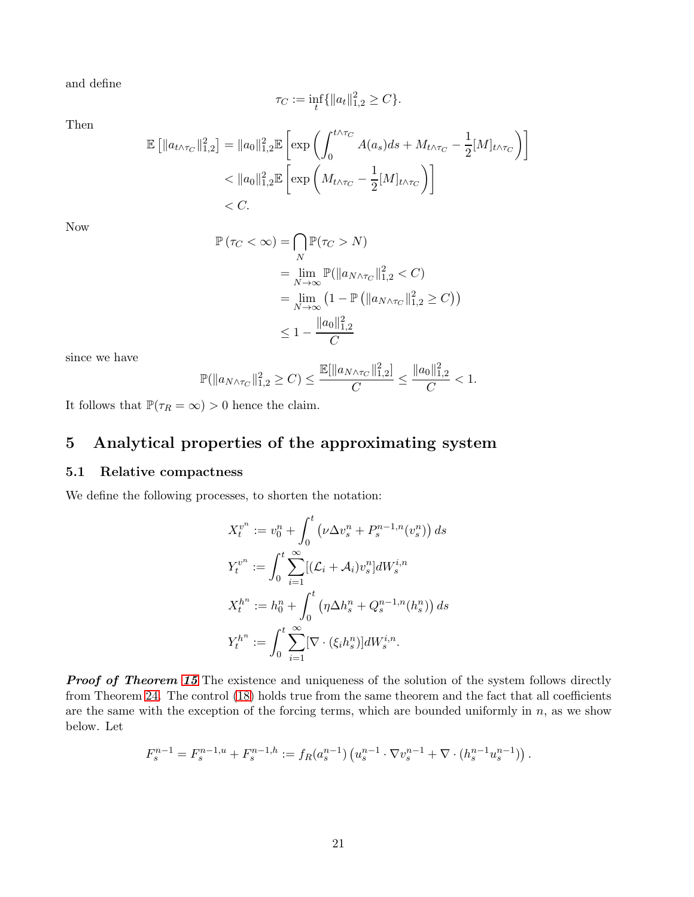and define

$$
\tau_C := \inf_t \{ \|a_t\|_{1,2}^2 \ge C \}.
$$

Then

$$
\mathbb{E}\left[\|a_{t\wedge\tau_C}\|_{1,2}^2\right] = \|a_0\|_{1,2}^2 \mathbb{E}\left[\exp\left(\int_0^{t\wedge\tau_C} A(a_s)ds + M_{t\wedge\tau_C} - \frac{1}{2}[M]_{t\wedge\tau_C}\right)\right]
$$
  
< 
$$
< \|a_0\|_{1,2}^2 \mathbb{E}\left[\exp\left(M_{t\wedge\tau_C} - \frac{1}{2}[M]_{t\wedge\tau_C}\right)\right]
$$
  
< 
$$
< C.
$$

Now

$$
\mathbb{P}(\tau_C < \infty) = \bigcap_{N} \mathbb{P}(\tau_C > N)
$$
  
= 
$$
\lim_{N \to \infty} \mathbb{P}(\|a_{N \wedge \tau_C}\|_{1,2}^2 < C)
$$
  
= 
$$
\lim_{N \to \infty} (1 - \mathbb{P}(\|a_{N \wedge \tau_C}\|_{1,2}^2 \ge C))
$$
  

$$
\leq 1 - \frac{\|a_0\|_{1,2}^2}{C}
$$

since we have

$$
\mathbb{P}(\|a_{N\wedge\tau_C}\|_{1,2}^2 \geq C) \leq \frac{\mathbb{E}[\|a_{N\wedge\tau_C}\|_{1,2}^2]}{C} \leq \frac{\|a_0\|_{1,2}^2}{C} < 1.
$$

It follows that  $\mathbb{P}(\tau_R = \infty) > 0$  hence the claim.

# <span id="page-20-0"></span>5 Analytical properties of the approximating system

#### <span id="page-20-1"></span>5.1 Relative compactness

We define the following processes, to shorten the notation:

$$
X_t^{v^n} := v_0^n + \int_0^t \left(\nu \Delta v_s^n + P_s^{n-1,n}(v_s^n)\right) ds
$$
  
\n
$$
Y_t^{v^n} := \int_0^t \sum_{i=1}^\infty \left[ (\mathcal{L}_i + \mathcal{A}_i) v_s^n \right] dW_s^{i,n}
$$
  
\n
$$
X_t^{h^n} := h_0^n + \int_0^t \left(\eta \Delta h_s^n + Q_s^{n-1,n}(h_s^n)\right) ds
$$
  
\n
$$
Y_t^{h^n} := \int_0^t \sum_{i=1}^\infty \left[\nabla \cdot \left(\xi_i h_s^n\right)\right] dW_s^{i,n}.
$$

**Proof of Theorem [15](#page-13-2)** The existence and uniqueness of the solution of the system follows directly from Theorem [24.](#page-26-2) The control [\(18\)](#page-14-1) holds true from the same theorem and the fact that all coefficients are the same with the exception of the forcing terms, which are bounded uniformly in  $n$ , as we show below. Let

$$
F_s^{n-1} = F_s^{n-1,u} + F_s^{n-1,h} := f_R(a_s^{n-1}) \left( u_s^{n-1} \cdot \nabla v_s^{n-1} + \nabla \cdot (h_s^{n-1} u_s^{n-1}) \right).
$$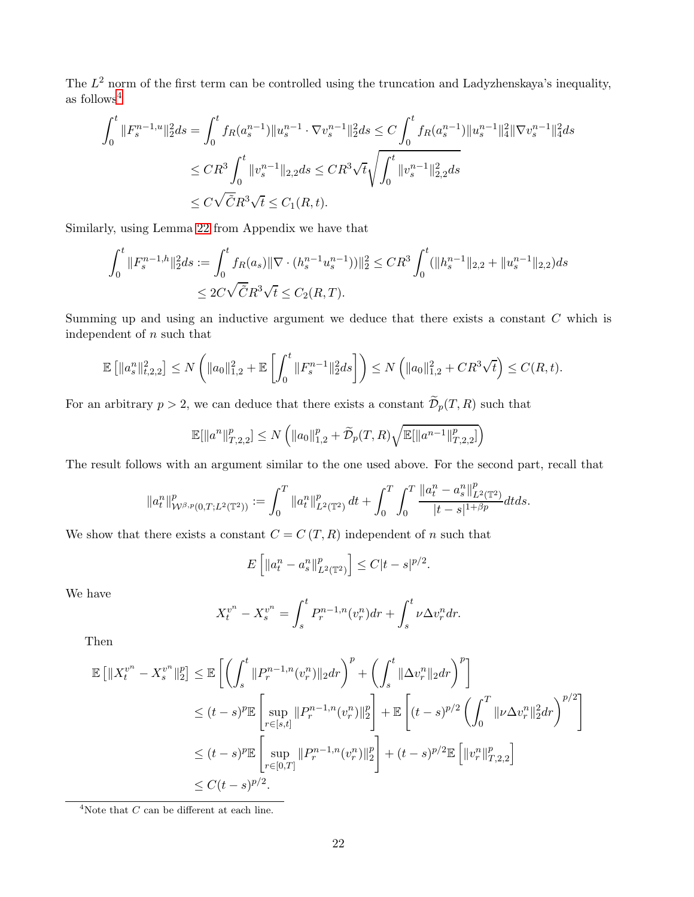The  $L^2$  norm of the first term can be controlled using the truncation and Ladyzhenskaya's inequality, as follows[4](#page-21-0)

$$
\int_0^t \|F_s^{n-1,u}\|_2^2 ds = \int_0^t f_R(a_s^{n-1}) \|u_s^{n-1} \cdot \nabla v_s^{n-1}\|_2^2 ds \le C \int_0^t f_R(a_s^{n-1}) \|u_s^{n-1}\|_4^2 \|\nabla v_s^{n-1}\|_4^2 ds
$$
  
\n
$$
\le CR^3 \int_0^t \|v_s^{n-1}\|_{2,2} ds \le CR^3 \sqrt{t} \sqrt{\int_0^t \|v_s^{n-1}\|_{2,2}^2 ds}
$$
  
\n
$$
\le C \sqrt{\tilde{C}} R^3 \sqrt{t} \le C_1(R,t).
$$

Similarly, using Lemma [22](#page-24-0) from Appendix we have that

$$
\int_0^t \|F_s^{n-1,h}\|_2^2 ds := \int_0^t f_R(a_s) \|\nabla \cdot (h_s^{n-1} u_s^{n-1}))\|_2^2 \le C R^3 \int_0^t (\|h_s^{n-1}\|_{2,2} + \|u_s^{n-1}\|_{2,2}) ds
$$
  

$$
\le 2C \sqrt{\tilde{C}} R^3 \sqrt{t} \le C_2(R,T).
$$

Summing up and using an inductive argument we deduce that there exists a constant  $C$  which is independent of n such that

$$
\mathbb{E}\left[\|a_s^n\|_{t,2,2}^2\right] \le N\left(\|a_0\|_{1,2}^2 + \mathbb{E}\left[\int_0^t \|F_s^{n-1}\|_2^2 ds\right]\right) \le N\left(\|a_0\|_{1,2}^2 + CR^3\sqrt{t}\right) \le C(R,t).
$$

For an arbitrary  $p > 2$ , we can deduce that there exists a constant  $\widetilde{\mathcal{D}}_p(T, R)$  such that

$$
\mathbb{E}[\|a^n\|_{T,2,2}^p] \le N\left(\|a_0\|_{1,2}^p + \widetilde{\mathcal{D}}_p(T,R)\sqrt{\mathbb{E}[\|a^{n-1}\|_{T,2,2}^p]}\right)
$$

The result follows with an argument similar to the one used above. For the second part, recall that

$$
\|a_t^n\|_{\mathcal{W}^{\beta,p}(0,T;L^2(\mathbb{T}^2))}^p:=\int_0^T\|a_t^n\|_{L^2(\mathbb{T}^2)}^p\,dt+\int_0^T\int_0^T\frac{\|a_t^n-a_s^n\|_{L^2(\mathbb{T}^2)}^p}{|t-s|^{1+\beta p}}dtds.
$$

We show that there exists a constant  $C = C(T, R)$  independent of n such that

$$
E\left[\|a_t^n - a_s^n\|_{L^2(\mathbb{T}^2)}^p\right] \le C|t - s|^{p/2}.
$$

We have

$$
X_t^{v^n} - X_s^{v^n} = \int_s^t P_r^{n-1,n}(v_r^n) dr + \int_s^t \nu \Delta v_r^n dr.
$$

Then

$$
\mathbb{E} \left[ \|X_t^{v^n} - X_s^{v^n}\|_2^p \right] \leq \mathbb{E} \left[ \left( \int_s^t \|P_r^{n-1,n}(v_r^n)\|_2 dr \right)^p + \left( \int_s^t \|\Delta v_r^n\|_2 dr \right)^p \right]
$$
  
\n
$$
\leq (t-s)^p \mathbb{E} \left[ \sup_{r \in [s,t]} \|P_r^{n-1,n}(v_r^n)\|_2^p \right] + \mathbb{E} \left[ (t-s)^{p/2} \left( \int_0^T \|\nu \Delta v_r^n\|_2^2 dr \right)^{p/2} \right]
$$
  
\n
$$
\leq (t-s)^p \mathbb{E} \left[ \sup_{r \in [0,T]} \|P_r^{n-1,n}(v_r^n)\|_2^p \right] + (t-s)^{p/2} \mathbb{E} \left[ \|v_r^n\|_{T,2,2}^p \right]
$$
  
\n
$$
\leq C (t-s)^{p/2}.
$$

<span id="page-21-0"></span><sup>4</sup>Note that  $C$  can be different at each line.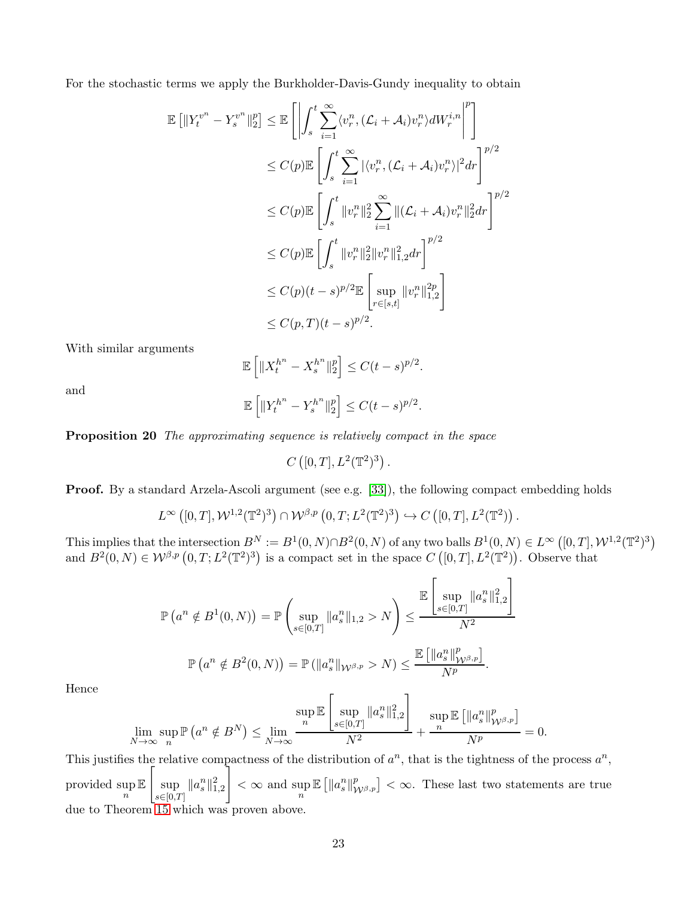For the stochastic terms we apply the Burkholder-Davis-Gundy inequality to obtain

$$
\mathbb{E} \left[ \left\| Y_t^{v^n} - Y_s^{v^n} \right\|_2^p \right] \leq \mathbb{E} \left[ \left| \int_s^t \sum_{i=1}^\infty \langle v_r^n, (\mathcal{L}_i + \mathcal{A}_i) v_r^n \rangle dW_r^{i,n} \right|^p \right]
$$
  
\n
$$
\leq C(p) \mathbb{E} \left[ \int_s^t \sum_{i=1}^\infty |\langle v_r^n, (\mathcal{L}_i + \mathcal{A}_i) v_r^n \rangle|^2 dr \right]^{p/2}
$$
  
\n
$$
\leq C(p) \mathbb{E} \left[ \int_s^t \|v_r^n\|_2^2 \sum_{i=1}^\infty \|(\mathcal{L}_i + \mathcal{A}_i) v_r^n\|_2^2 dr \right]^{p/2}
$$
  
\n
$$
\leq C(p) \mathbb{E} \left[ \int_s^t \|v_r^n\|_2^2 \|v_r^n\|_{1,2}^2 dr \right]^{p/2}
$$
  
\n
$$
\leq C(p) (t - s)^{p/2} \mathbb{E} \left[ \sup_{r \in [s,t]} \|v_r^n\|_{1,2}^{2p} \right]
$$
  
\n
$$
\leq C(p, T) (t - s)^{p/2}.
$$

With similar arguments

$$
\mathbb{E}\left[\|X_t^{h^n} - X_s^{h^n}\|_2^p\right] \le C(t-s)^{p/2}.
$$

and

$$
\mathbb{E}\left[\|Y_t^{h^n} - Y_s^{h^n}\|_2^p\right] \le C(t-s)^{p/2}.
$$

Proposition 20 The approximating sequence is relatively compact in the space

 $C([0,T], L^2(\mathbb{T}^2)^3)$ .

Proof. By a standard Arzela-Ascoli argument (see e.g. [\[33\]](#page-28-16)), the following compact embedding holds

$$
L^{\infty}\left([0,T],\mathcal{W}^{1,2}(\mathbb{T}^2)^3\right)\cap \mathcal{W}^{\beta,p}\left(0,T;L^2(\mathbb{T}^2)^3\right)\hookrightarrow C\left([0,T],L^2(\mathbb{T}^2)\right).
$$

This implies that the intersection  $B^N := B^1(0, N) \cap B^2(0, N)$  of any two balls  $B^1(0, N) \in L^\infty([0, T], \mathcal{W}^{1,2}(\mathbb{T}^2)^3)$ and  $B^2(0, N) \in W^{\beta, p}([0, T; L^2(\mathbb{T}^2)^3))$  is a compact set in the space  $C([0, T], L^2(\mathbb{T}^2))$ . Observe that

$$
\mathbb{P}\left(a^{n} \notin B^{1}(0, N)\right) = \mathbb{P}\left(\sup_{s \in [0, T]} \|a_{s}^{n}\|_{1,2} > N\right) \leq \frac{\mathbb{E}\left[\sup_{s \in [0, T]} \|a_{s}^{n}\|_{1,2}^{2}\right]}{N^{2}}
$$

$$
\mathbb{P}\left(a^{n} \notin B^{2}(0, N)\right) = \mathbb{P}\left(\|a_{s}^{n}\|_{\mathcal{W}^{\beta, p}} > N\right) \leq \frac{\mathbb{E}\left[\|a_{s}^{n}\|_{\mathcal{W}^{\beta, p}}^{p}\right]}{N^{p}}.
$$

Hence

$$
\lim_{N \to \infty} \sup_n \mathbb{P}\left(a^n \notin B^N\right) \le \lim_{N \to \infty} \frac{\sup_n \mathbb{E}\left[\sup_{s \in [0,T]} \|a_s^n\|_{1,2}^2\right]}{N^2} + \frac{\sup_n \mathbb{E}\left[\|a_s^n\|_{\mathcal{W}^{\beta,p}}^p\right]}{N^p} = 0.
$$

This justifies the relative compactness of the distribution of  $a^n$ , that is the tightness of the process  $a^n$ , provided sup n E  $\sqrt{ }$ sup  $\sup_{s\in[0,T]}\|a_s^n\|_{1,2}^2$ ٦  $< \infty$  and sup  $\mathbb{E}\left[\Vert a_s^n \Vert_{\mathcal{W}^{\beta, p}}^p\right] < \infty$ . These last two statements are true due to Theorem [15](#page-13-2) which was proven above.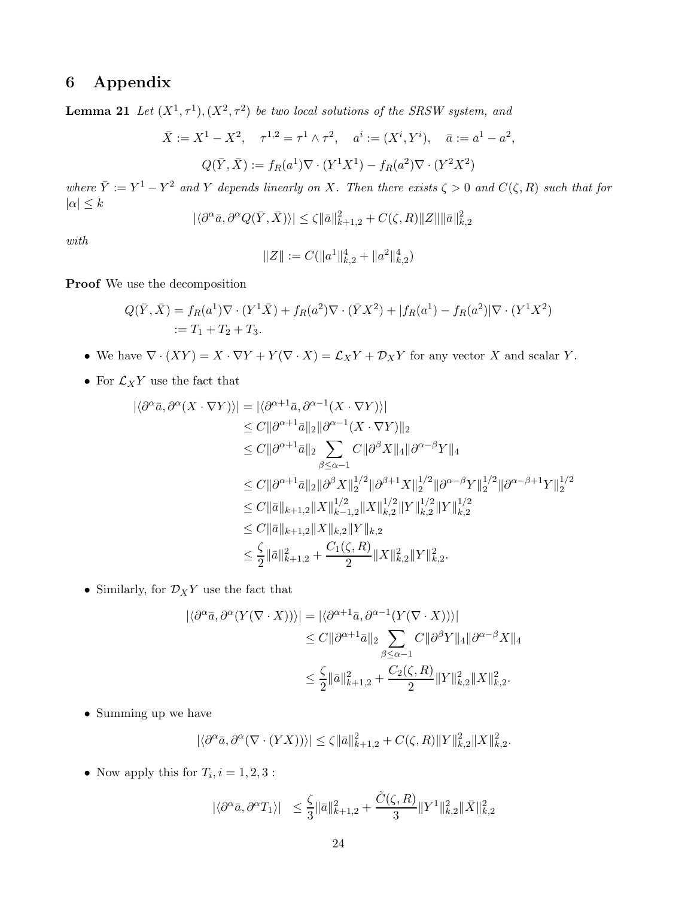# <span id="page-23-1"></span><span id="page-23-0"></span>6 Appendix

**Lemma 21** Let  $(X^1, \tau^1), (X^2, \tau^2)$  be two local solutions of the SRSW system, and

$$
\bar{X} := X^1 - X^2, \quad \tau^{1,2} = \tau^1 \wedge \tau^2, \quad a^i := (X^i, Y^i), \quad \bar{a} := a^1 - a^2,
$$

$$
Q(\bar{Y}, \bar{X}) := f_R(a^1) \nabla \cdot (Y^1 X^1) - f_R(a^2) \nabla \cdot (Y^2 X^2)
$$

where  $\overline{Y} := Y^1 - Y^2$  and Y depends linearly on X. Then there exists  $\zeta > 0$  and  $C(\zeta, R)$  such that for  $|\alpha| \leq k$ 

$$
|\langle \partial^{\alpha}\bar{a}, \partial^{\alpha} Q(\bar{Y}, \bar{X})\rangle| \leq \zeta \|\bar{a}\|_{k+1,2}^2 + C(\zeta, R) \|Z\| \|\bar{a}\|_{k,2}^2
$$

with

$$
||Z|| := C(||a^1||_{k,2}^4 + ||a^2||_{k,2}^4)
$$

Proof We use the decomposition

$$
Q(\bar{Y}, \bar{X}) = f_R(a^1) \nabla \cdot (Y^1 \bar{X}) + f_R(a^2) \nabla \cdot (\bar{Y} X^2) + |f_R(a^1) - f_R(a^2)| \nabla \cdot (Y^1 X^2)
$$
  
 :=  $T_1 + T_2 + T_3$ .

- We have  $\nabla \cdot (XY) = X \cdot \nabla Y + Y(\nabla \cdot X) = \mathcal{L}_X Y + \mathcal{D}_X Y$  for any vector X and scalar Y.
- $\bullet\,$  For  $\mathcal{L}_XY$  use the fact that

$$
\begin{split}\n|\langle \partial^{\alpha}\bar{a}, \partial^{\alpha}(X \cdot \nabla Y) \rangle| &= |\langle \partial^{\alpha+1}\bar{a}, \partial^{\alpha-1}(X \cdot \nabla Y) \rangle| \\
&\leq C \|\partial^{\alpha+1}\bar{a}\|_{2} \|\partial^{\alpha-1}(X \cdot \nabla Y)\|_{2} \\
&\leq C \|\partial^{\alpha+1}\bar{a}\|_{2} \sum_{\beta \leq \alpha-1} C \|\partial^{\beta} X\|_{4} \|\partial^{\alpha-\beta} Y\|_{4} \\
&\leq C \|\partial^{\alpha+1}\bar{a}\|_{2} \|\partial^{\beta} X\|_{2}^{1/2} \|\partial^{\beta+1} X\|_{2}^{1/2} \|\partial^{\alpha-\beta} Y\|_{2}^{1/2} \|\partial^{\alpha-\beta+1} Y\|_{2}^{1/2} \\
&\leq C \|\bar{a}\|_{k+1,2} \|X\|_{k-1,2}^{1/2} \|X\|_{k,2}^{1/2} \|Y\|_{k,2}^{1/2} \|Y\|_{k,2}^{1/2} \\
&\leq C \|\bar{a}\|_{k+1,2} \|X\|_{k,2} \|Y\|_{k,2} \\
&\leq \frac{\zeta}{2} \|\bar{a}\|_{k+1,2}^{2} + \frac{C_{1}(\zeta,R)}{2} \|X\|_{k,2}^{2} \|Y\|_{k,2}^{2}.\n\end{split}
$$

 $\bullet\,$  Similarly, for  $\mathcal{D}_XY$  use the fact that

$$
\begin{aligned} |\langle \partial^{\alpha}\bar{a}, \partial^{\alpha}(Y(\nabla \cdot X)) \rangle| &= |\langle \partial^{\alpha+1}\bar{a}, \partial^{\alpha-1}(Y(\nabla \cdot X)) \rangle| \\ &\leq C \|\partial^{\alpha+1}\bar{a}\|_2 \sum_{\beta \leq \alpha-1} C \|\partial^{\beta}Y\|_4 \|\partial^{\alpha-\beta}X\|_4 \\ &\leq \frac{\zeta}{2} \|\bar{a}\|_{k+1,2}^2 + \frac{C_2(\zeta, R)}{2} \|Y\|_{k,2}^2 \|X\|_{k,2}^2. \end{aligned}
$$

• Summing up we have

$$
|\langle \partial^{\alpha}\bar{a}, \partial^{\alpha}(\nabla \cdot (YX))\rangle| \leq \zeta \|\bar{a}\|_{k+1,2}^2 + C(\zeta, R) \|Y\|_{k,2}^2 \|X\|_{k,2}^2.
$$

• Now apply this for  $T_i$ ,  $i = 1, 2, 3$ :

$$
|\langle \partial^{\alpha}\bar{a}, \partial^{\alpha}T_1 \rangle| \leq \frac{\zeta}{3} ||\bar{a}||^2_{k+1,2} + \frac{\tilde{C}(\zeta, R)}{3} ||Y^1||^2_{k,2} ||\bar{X}||^2_{k,2}
$$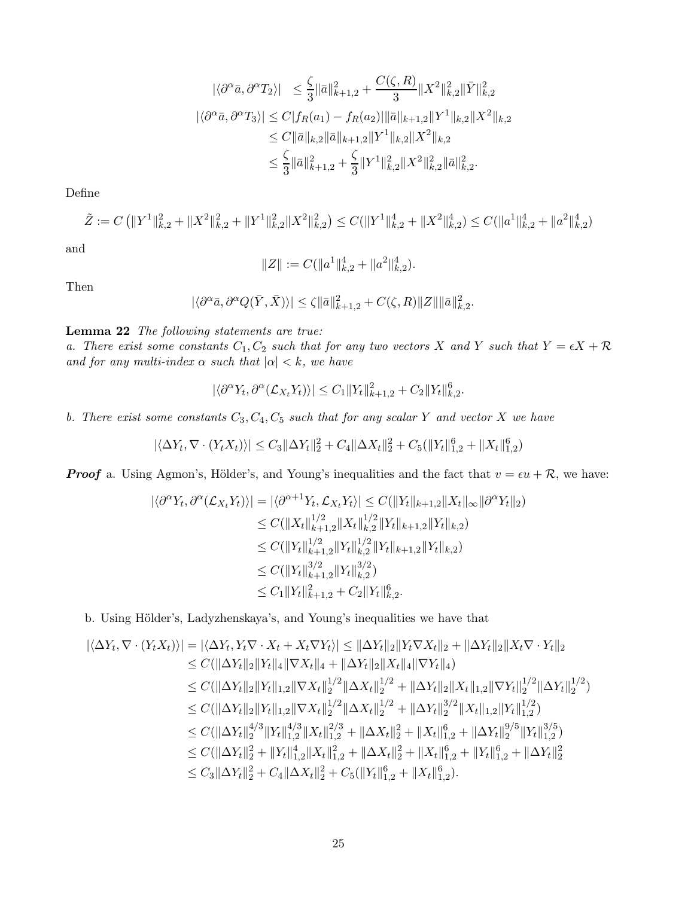$$
\begin{split} |\langle \partial^{\alpha}\bar{a}, \partial^{\alpha}T_{2}\rangle| &\leq \frac{\zeta}{3} \|\bar{a}\|_{k+1,2}^{2} + \frac{C(\zeta,R)}{3} \|X^{2}\|_{k,2}^{2} \|\bar{Y}\|_{k,2}^{2} \\ |\langle \partial^{\alpha}\bar{a}, \partial^{\alpha}T_{3}\rangle| &\leq C |f_{R}(a_{1}) - f_{R}(a_{2})| \|\bar{a}\|_{k+1,2} \|Y^{1}\|_{k,2} \|X^{2}\|_{k,2} \\ &\leq C \|\bar{a}\|_{k,2} \|\bar{a}\|_{k+1,2} \|Y^{1}\|_{k,2} \|X^{2}\|_{k,2} \\ &\leq \frac{\zeta}{3} \|\bar{a}\|_{k+1,2}^{2} + \frac{\zeta}{3} \|Y^{1}\|_{k,2}^{2} \|X^{2}\|_{k,2}^{2} \|\bar{a}\|_{k,2}^{2} . \end{split}
$$

Define

$$
\tilde{Z} := C \left( \|Y^1\|_{k,2}^2 + \|X^2\|_{k,2}^2 + \|Y^1\|_{k,2}^2 \|X^2\|_{k,2}^2 \right) \le C (\|Y^1\|_{k,2}^4 + \|X^2\|_{k,2}^4) \le C (\|a^1\|_{k,2}^4 + \|a^2\|_{k,2}^4)
$$

and

$$
||Z|| := C(||a^1||_{k,2}^4 + ||a^2||_{k,2}^4).
$$

Then

$$
|\langle \partial^\alpha \bar{a}, \partial^\alpha Q(\bar{Y}, \bar{X}) \rangle| \leq \zeta \|\bar{a}\|_{k+1,2}^2 + C(\zeta,R)\|Z\| \|\bar{a}\|_{k,2}^2.
$$

### <span id="page-24-0"></span>Lemma 22 The following statements are true:

a. There exist some constants  $C_1, C_2$  such that for any two vectors X and Y such that  $Y = \epsilon X + \mathcal{R}$ and for any multi-index  $\alpha$  such that  $|\alpha| < k$ , we have

$$
|\langle \partial^{\alpha} Y_t, \partial^{\alpha} (\mathcal{L}_{X_t} Y_t) \rangle| \leq C_1 \|Y_t\|_{k+1,2}^2 + C_2 \|Y_t\|_{k,2}^6.
$$

b. There exist some constants  $C_3, C_4, C_5$  such that for any scalar Y and vector X we have

$$
|\langle \Delta Y_t, \nabla \cdot (Y_t X_t) \rangle| \le C_3 \|\Delta Y_t\|_2^2 + C_4 \|\Delta X_t\|_2^2 + C_5 (\|Y_t\|_{1,2}^6 + \|X_t\|_{1,2}^6)
$$

**Proof** a. Using Agmon's, Hölder's, and Young's inequalities and the fact that  $v = \epsilon u + \mathcal{R}$ , we have:

$$
\begin{aligned} |\langle \partial^{\alpha} Y_t, \partial^{\alpha} (\mathcal{L}_{X_t} Y_t) \rangle| &= |\langle \partial^{\alpha+1} Y_t, \mathcal{L}_{X_t} Y_t \rangle| \le C (\|Y_t\|_{k+1,2} \|X_t\|_{\infty} \|\partial^{\alpha} Y_t\|_2) \\ &\le C (\|X_t\|_{k+1,2}^{1/2} \|X_t\|_{k,2}^{1/2} \|Y_t\|_{k+1,2} \|Y_t\|_{k,2}) \\ &\le C (\|Y_t\|_{k+1,2}^{1/2} \|Y_t\|_{k,2}^{1/2} \|Y_t\|_{k+1,2} \|Y_t\|_{k,2}) \\ &\le C (\|Y_t\|_{k+1,2}^{3/2} \|Y_t\|_{k,2}^{3/2}) \\ &\le C_1 \|Y_t\|_{k+1,2}^2 + C_2 \|Y_t\|_{k,2}^6. \end{aligned}
$$

b. Using Hölder's, Ladyzhenskaya's, and Young's inequalities we have that

$$
\begin{aligned}\n|\langle \Delta Y_t, \nabla \cdot (Y_t X_t) \rangle| &= |\langle \Delta Y_t, Y_t \nabla \cdot X_t + X_t \nabla Y_t \rangle| \leq \|\Delta Y_t\|_2 \|Y_t \nabla X_t\|_2 + \|\Delta Y_t\|_2 \|X_t \nabla \cdot Y_t\|_2 \\
&\leq C(\|\Delta Y_t\|_2 \|Y_t\|_4 \|\nabla X_t\|_4 + \|\Delta Y_t\|_2 \|X_t\|_4 \|\nabla Y_t\|_4) \\
&\leq C(\|\Delta Y_t\|_2 \|Y_t\|_{1,2} \|\nabla X_t\|_2^{1/2} \|\Delta X_t\|_2^{1/2} + \|\Delta Y_t\|_2 \|X_t\|_{1,2} \|\nabla Y_t\|_2^{1/2} \|\Delta Y_t\|_2^{1/2}) \\
&\leq C(\|\Delta Y_t\|_2 \|Y_t\|_{1,2} \|\nabla X_t\|_2^{1/2} \|\Delta X_t\|_2^{1/2} + \|\Delta Y_t\|_2^{3/2} \|X_t\|_{1,2} \|Y_t\|_{1,2}^{1/2}) \\
&\leq C(\|\Delta Y_t\|_2^{4/3} \|Y_t\|_{1,2}^{4/3} \|X_t\|_{1,2}^{2/3} + \|\Delta X_t\|_2^2 + \|X_t\|_{1,2}^6 + \|\Delta Y_t\|_2^{9/5} \|Y_t\|_{1,2}^{3/5}) \\
&\leq C(\|\Delta Y_t\|_2^2 + \|Y_t\|_{1,2}^4 \|X_t\|_{1,2}^2 + \|\Delta X_t\|_2^2 + \|X_t\|_{1,2}^6 + \|Y_t\|_{1,2}^6 + \|Y_t\|_{1,2}^6) \\
&\leq C_3 \|\Delta Y_t\|_2^2 + C_4 \|\Delta X_t\|_2^2 + C_5 (\|Y_t\|_{1,2}^6 + \|X_t\|_{1,2}^6).\n\end{aligned}
$$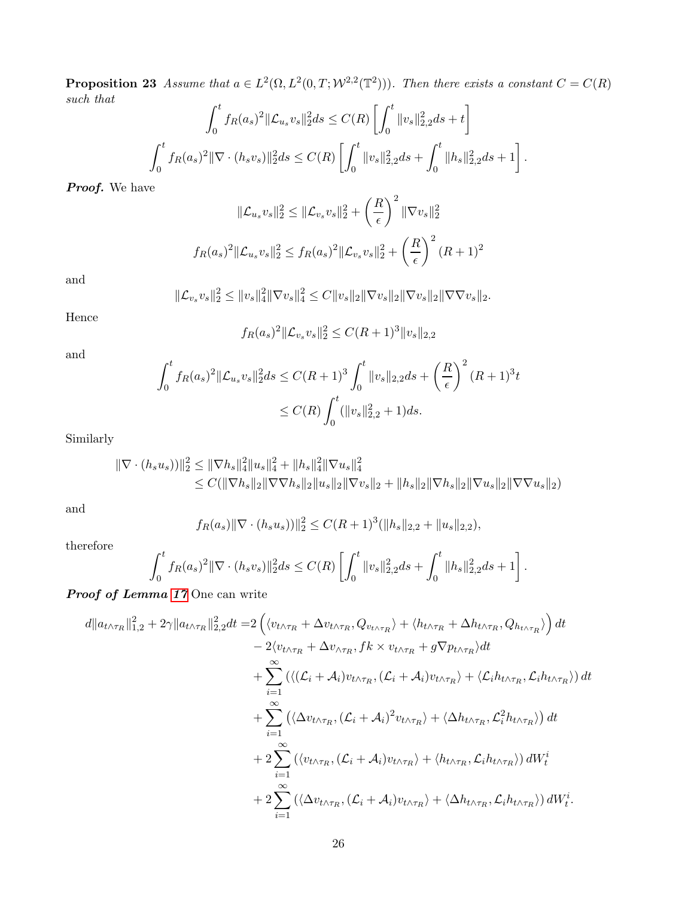**Proposition 23** Assume that  $a \in L^2(\Omega, L^2(0,T; \mathcal{W}^{2,2}(\mathbb{T}^2)))$ . Then there exists a constant  $C = C(R)$ such that

$$
\int_0^t f_R(a_s)^2 \|\mathcal{L}_{u_s} v_s\|_2^2 ds \le C(R) \left[ \int_0^t \|v_s\|_{2,2}^2 ds + t \right]
$$
  

$$
\int_0^t f_R(a_s)^2 \|\nabla \cdot (h_s v_s)\|_2^2 ds \le C(R) \left[ \int_0^t \|v_s\|_{2,2}^2 ds + \int_0^t \|h_s\|_{2,2}^2 ds + 1 \right].
$$

Proof. We have

$$
\|\mathcal{L}_{u_s} v_s\|_2^2 \le \|\mathcal{L}_{v_s} v_s\|_2^2 + \left(\frac{R}{\epsilon}\right)^2 \|\nabla v_s\|_2^2
$$
  

$$
f_R(a_s)^2 \|\mathcal{L}_{u_s} v_s\|_2^2 \le f_R(a_s)^2 \|\mathcal{L}_{v_s} v_s\|_2^2 + \left(\frac{R}{\epsilon}\right)^2 (R+1)^2
$$

and

$$
\|\mathcal{L}_{v_s}v_s\|_2^2 \le \|v_s\|_4^2 \|\nabla v_s\|_4^2 \le C \|v_s\|_2 \|\nabla v_s\|_2 \|\nabla v_s\|_2 \|\nabla \nabla v_s\|_2.
$$

Hence

$$
f_R(a_s)^2 \|\mathcal{L}_{v_s} v_s\|_2^2 \le C(R+1)^3 \|v_s\|_{2,2}
$$

and

$$
\int_0^t f_R(a_s)^2 \|\mathcal{L}_{u_s} v_s\|_2^2 ds \le C(R+1)^3 \int_0^t \|v_s\|_{2,2} ds + \left(\frac{R}{\epsilon}\right)^2 (R+1)^3 t
$$
  

$$
\le C(R) \int_0^t (\|v_s\|_{2,2}^2 + 1) ds.
$$

Similarly

$$
\begin{aligned} \|\nabla \cdot (h_s u_s))\|_2^2 &\leq \|\nabla h_s\|_4^2 \|u_s\|_4^2 + \|h_s\|_4^2 \|\nabla u_s\|_4^2 \\ &\leq C(\|\nabla h_s\|_2 \|\nabla \nabla h_s\|_2 \|u_s\|_2 \|\nabla v_s\|_2 + \|h_s\|_2 \|\nabla h_s\|_2 \|\nabla u_s\|_2 \|\nabla \nabla u_s\|_2) \end{aligned}
$$

and

$$
f_R(a_s) \|\nabla \cdot (h_s u_s))\|_2^2 \le C(R+1)^3 (\|h_s\|_{2,2} + \|u_s\|_{2,2}),
$$

therefore

$$
\int_0^t f_R(a_s)^2 \|\nabla \cdot (h_s v_s)\|_2^2 ds \leq C(R) \left[ \int_0^t \|v_s\|_{2,2}^2 ds + \int_0^t \|h_s\|_{2,2}^2 ds + 1 \right].
$$

Proof of Lemma [17](#page-18-1) One can write

$$
d||a_{t\wedge\tau_{R}}||_{1,2}^{2} + 2\gamma ||a_{t\wedge\tau_{R}}||_{2,2}^{2}dt = 2\left(\langle v_{t\wedge\tau_{R}} + \Delta v_{t\wedge\tau_{R}}, Q_{v_{t\wedge\tau_{R}}}\rangle + \langle h_{t\wedge\tau_{R}} + \Delta h_{t\wedge\tau_{R}}, Q_{h_{t\wedge\tau_{R}}}\rangle\right)dt - 2\langle v_{t\wedge\tau_{R}} + \Delta v_{\wedge\tau_{R}}, f k \times v_{t\wedge\tau_{R}} + g \nabla p_{t\wedge\tau_{R}}\rangle dt + \sum_{i=1}^{\infty} \left(\langle(\mathcal{L}_{i} + \mathcal{A}_{i})v_{t\wedge\tau_{R}}, (\mathcal{L}_{i} + \mathcal{A}_{i})v_{t\wedge\tau_{R}}\rangle + \langle\mathcal{L}_{i}h_{t\wedge\tau_{R}}, \mathcal{L}_{i}h_{t\wedge\tau_{R}}\rangle\right)dt + \sum_{i=1}^{\infty} \left(\langle\Delta v_{t\wedge\tau_{R}}, (\mathcal{L}_{i} + \mathcal{A}_{i})^{2}v_{t\wedge\tau_{R}}\rangle + \langle\Delta h_{t\wedge\tau_{R}}, \mathcal{L}_{i}^{2}h_{t\wedge\tau_{R}}\rangle\right)dt + 2\sum_{i=1}^{\infty} \left(\langle v_{t\wedge\tau_{R}}, (\mathcal{L}_{i} + \mathcal{A}_{i})v_{t\wedge\tau_{R}}\rangle + \langle h_{t\wedge\tau_{R}}, \mathcal{L}_{i}h_{t\wedge\tau_{R}}\rangle\right)dW_{t}^{i} + 2\sum_{i=1}^{\infty} \left(\langle\Delta v_{t\wedge\tau_{R}}, (\mathcal{L}_{i} + \mathcal{A}_{i})v_{t\wedge\tau_{R}}\rangle + \langle\Delta h_{t\wedge\tau_{R}}, \mathcal{L}_{i}h_{t\wedge\tau_{R}}\rangle\right)dW_{t}^{i}.
$$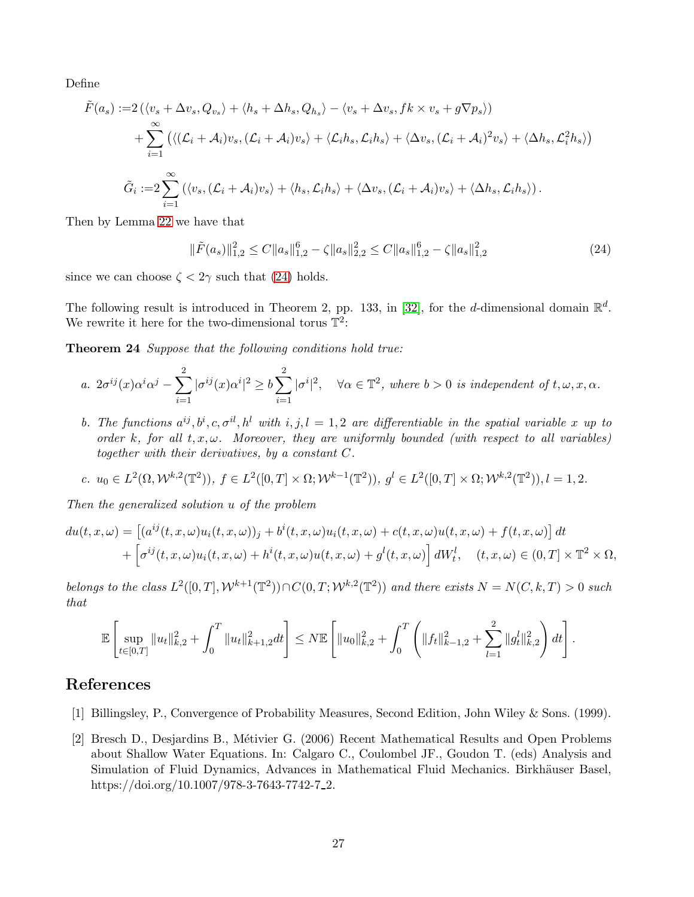Define

$$
\tilde{F}(a_s) := 2(\langle v_s + \Delta v_s, Q_{v_s} \rangle + \langle h_s + \Delta h_s, Q_{h_s} \rangle - \langle v_s + \Delta v_s, fk \times v_s + g \nabla p_s \rangle)
$$
\n
$$
+ \sum_{i=1}^{\infty} (\langle (\mathcal{L}_i + \mathcal{A}_i) v_s, (\mathcal{L}_i + \mathcal{A}_i) v_s \rangle + \langle \mathcal{L}_i h_s, \mathcal{L}_i h_s \rangle + \langle \Delta v_s, (\mathcal{L}_i + \mathcal{A}_i)^2 v_s \rangle + \langle \Delta h_s, \mathcal{L}_i^2 h_s \rangle)
$$
\n
$$
\tilde{G}_i := 2 \sum_{i=1}^{\infty} (\langle v_s, (\mathcal{L}_i + \mathcal{A}_i) v_s \rangle + \langle h_s, \mathcal{L}_i h_s \rangle + \langle \Delta v_s, (\mathcal{L}_i + \mathcal{A}_i) v_s \rangle + \langle \Delta h_s, \mathcal{L}_i h_s \rangle).
$$

Then by Lemma [22](#page-24-0) we have that

<span id="page-26-3"></span><span id="page-26-2"></span>
$$
\|\tilde{F}(a_s)\|_{1,2}^2 \le C \|a_s\|_{1,2}^6 - \zeta \|a_s\|_{2,2}^2 \le C \|a_s\|_{1,2}^6 - \zeta \|a_s\|_{1,2}^2 \tag{24}
$$

since we can choose  $\zeta < 2\gamma$  such that [\(24\)](#page-26-3) holds.

The following result is introduced in Theorem 2, pp. 133, in [\[32\]](#page-28-13), for the d-dimensional domain  $\mathbb{R}^d$ . We rewrite it here for the two-dimensional torus  $\mathbb{T}^2$ :

Theorem 24 Suppose that the following conditions hold true:

$$
a. \ 2\sigma^{ij}(x)\alpha^i\alpha^j - \sum_{i=1}^2 |\sigma^{ij}(x)\alpha^i|^2 \ge b \sum_{i=1}^2 |\sigma^i|^2, \quad \forall \alpha \in \mathbb{T}^2, \text{ where } b > 0 \text{ is independent of } t, \omega, x, \alpha.
$$

b. The functions  $a^{ij}, b^i, c, \sigma^{il}, h^l$  with  $i, j, l = 1, 2$  are differentiable in the spatial variable x up to order k, for all  $t, x, \omega$ . Moreover, they are uniformly bounded (with respect to all variables) together with their derivatives, by a constant C.

c. 
$$
u_0 \in L^2(\Omega, \mathcal{W}^{k,2}(\mathbb{T}^2)), f \in L^2([0,T] \times \Omega; \mathcal{W}^{k-1}(\mathbb{T}^2)), g^l \in L^2([0,T] \times \Omega; \mathcal{W}^{k,2}(\mathbb{T}^2)), l = 1,2.
$$

Then the generalized solution u of the problem

$$
du(t, x, \omega) = \left[ (a^{ij}(t, x, \omega)u_i(t, x, \omega))_j + b^i(t, x, \omega)u_i(t, x, \omega) + c(t, x, \omega)u(t, x, \omega) + f(t, x, \omega) \right] dt + \left[ \sigma^{ij}(t, x, \omega)u_i(t, x, \omega) + h^i(t, x, \omega)u(t, x, \omega) + g^l(t, x, \omega) \right] dW_t^l, \quad (t, x, \omega) \in (0, T] \times \mathbb{T}^2 \times \Omega,
$$

belongs to the class  $L^2([0,T], \mathcal{W}^{k+1}(\mathbb{T}^2)) \cap C(0,T; \mathcal{W}^{k,2}(\mathbb{T}^2))$  and there exists  $N = N(C, k, T) > 0$  such that

$$
\mathbb{E}\left[\sup_{t\in[0,T]}\|u_t\|_{k,2}^2+\int_0^T\|u_t\|_{k+1,2}^2dt\right]\leq N\mathbb{E}\left[\|u_0\|_{k,2}^2+\int_0^T\left(\|f_t\|_{k-1,2}^2+\sum_{l=1}^2\|g_t^l\|_{k,2}^2\right)dt\right].
$$

# <span id="page-26-1"></span>References

- <span id="page-26-0"></span>[1] Billingsley, P., Convergence of Probability Measures, Second Edition, John Wiley & Sons. (1999).
- [2] Bresch D., Desjardins B., M´etivier G. (2006) Recent Mathematical Results and Open Problems about Shallow Water Equations. In: Calgaro C., Coulombel JF., Goudon T. (eds) Analysis and Simulation of Fluid Dynamics, Advances in Mathematical Fluid Mechanics. Birkhäuser Basel, https://doi.org/10.1007/978-3-7643-7742-7<sub>-2</sub>.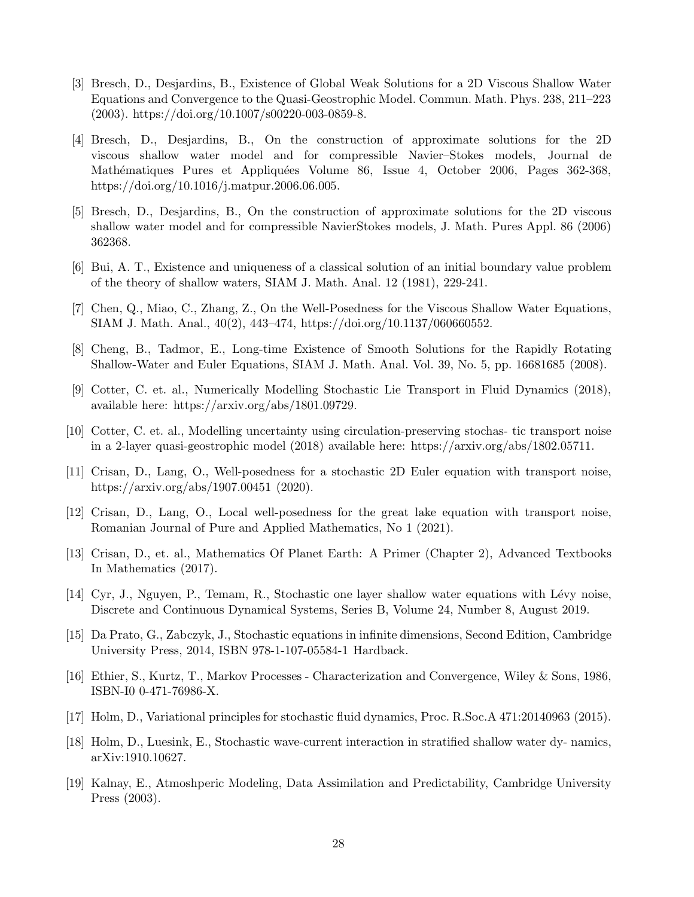- <span id="page-27-3"></span>[3] Bresch, D., Desjardins, B., Existence of Global Weak Solutions for a 2D Viscous Shallow Water Equations and Convergence to the Quasi-Geostrophic Model. Commun. Math. Phys. 238, 211–223  $(2003)$ . https://doi.org/10.1007/s00220-003-0859-8.
- <span id="page-27-4"></span>[4] Bresch, D., Desjardins, B., On the construction of approximate solutions for the 2D viscous shallow water model and for compressible Navier–Stokes models, Journal de Mathématiques Pures et Appliquées Volume 86, Issue 4, October 2006, Pages 362-368, https://doi.org/10.1016/j.matpur.2006.06.005.
- <span id="page-27-12"></span>[5] Bresch, D., Desjardins, B., On the construction of approximate solutions for the 2D viscous shallow water model and for compressible NavierStokes models, J. Math. Pures Appl. 86 (2006) 362368.
- <span id="page-27-6"></span><span id="page-27-5"></span>[6] Bui, A. T., Existence and uniqueness of a classical solution of an initial boundary value problem of the theory of shallow waters, SIAM J. Math. Anal. 12 (1981), 229-241.
- <span id="page-27-7"></span>[7] Chen, Q., Miao, C., Zhang, Z., On the Well-Posedness for the Viscous Shallow Water Equations, SIAM J. Math. Anal., 40(2), 443–474, https://doi.org/10.1137/060660552.
- <span id="page-27-9"></span>[8] Cheng, B., Tadmor, E., Long-time Existence of Smooth Solutions for the Rapidly Rotating Shallow-Water and Euler Equations, SIAM J. Math. Anal. Vol. 39, No. 5, pp. 16681685 (2008).
- <span id="page-27-10"></span>[9] Cotter, C. et. al., Numerically Modelling Stochastic Lie Transport in Fluid Dynamics (2018), available here: https://arxiv.org/abs/1801.09729.
- <span id="page-27-13"></span>[10] Cotter, C. et. al., Modelling uncertainty using circulation-preserving stochas- tic transport noise in a 2-layer quasi-geostrophic model (2018) available here: https://arxiv.org/abs/1802.05711.
- [11] Crisan, D., Lang, O., Well-posedness for a stochastic 2D Euler equation with transport noise, https://arxiv.org/abs/1907.00451 (2020).
- <span id="page-27-14"></span>[12] Crisan, D., Lang, O., Local well-posedness for the great lake equation with transport noise, Romanian Journal of Pure and Applied Mathematics, No 1 (2021).
- <span id="page-27-2"></span>[13] Crisan, D., et. al., Mathematics Of Planet Earth: A Primer (Chapter 2), Advanced Textbooks In Mathematics (2017).
- <span id="page-27-11"></span>[14] Cyr, J., Nguyen, P., Temam, R., Stochastic one layer shallow water equations with Lévy noise. Discrete and Continuous Dynamical Systems, Series B, Volume 24, Number 8, August 2019.
- [15] Da Prato, G., Zabczyk, J., Stochastic equations in infinite dimensions, Second Edition, Cambridge University Press, 2014, ISBN 978-1-107-05584-1 Hardback.
- <span id="page-27-0"></span>[16] Ethier, S., Kurtz, T., Markov Processes - Characterization and Convergence, Wiley & Sons, 1986, ISBN-I0 0-471-76986-X.
- <span id="page-27-8"></span>[17] Holm, D., Variational principles for stochastic fluid dynamics, Proc. R.Soc.A 471:20140963 (2015).
- <span id="page-27-1"></span>[18] Holm, D., Luesink, E., Stochastic wave-current interaction in stratified shallow water dy- namics, arXiv:1910.10627.
- [19] Kalnay, E., Atmoshperic Modeling, Data Assimilation and Predictability, Cambridge University Press (2003).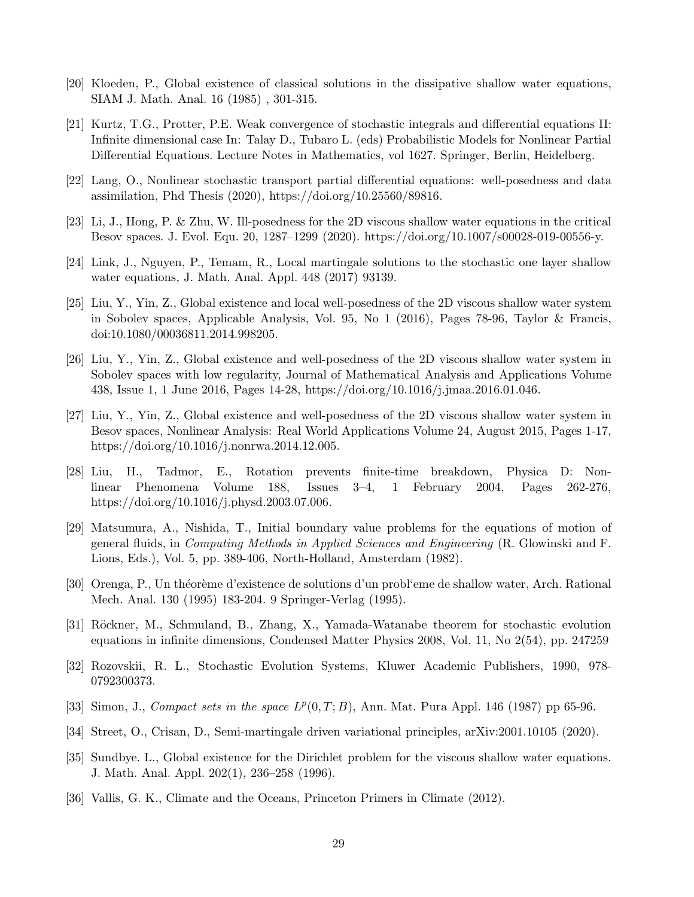- <span id="page-28-14"></span><span id="page-28-6"></span>[20] Kloeden, P., Global existence of classical solutions in the dissipative shallow water equations, SIAM J. Math. Anal. 16 (1985) , 301-315.
- [21] Kurtz, T.G., Protter, P.E. Weak convergence of stochastic integrals and differential equations II: Infinite dimensional case In: Talay D., Tubaro L. (eds) Probabilistic Models for Nonlinear Partial Differential Equations. Lecture Notes in Mathematics, vol 1627. Springer, Berlin, Heidelberg.
- <span id="page-28-10"></span><span id="page-28-4"></span>[22] Lang, O., Nonlinear stochastic transport partial differential equations: well-posedness and data assimilation, Phd Thesis (2020), https://doi.org/10.25560/89816.
- <span id="page-28-11"></span>[23] Li, J., Hong, P. & Zhu, W. Ill-posedness for the 2D viscous shallow water equations in the critical Besov spaces. J. Evol. Equ. 20, 1287–1299 (2020). https://doi.org/10.1007/s00028-019-00556-y.
- <span id="page-28-1"></span>[24] Link, J., Nguyen, P., Temam, R., Local martingale solutions to the stochastic one layer shallow water equations, J. Math. Anal. Appl. 448 (2017) 93139.
- [25] Liu, Y., Yin, Z., Global existence and local well-posedness of the 2D viscous shallow water system in Sobolev spaces, Applicable Analysis, Vol. 95, No 1 (2016), Pages 78-96, Taylor & Francis, doi:10.1080/00036811.2014.998205.
- <span id="page-28-2"></span>[26] Liu, Y., Yin, Z., Global existence and well-posedness of the 2D viscous shallow water system in Sobolev spaces with low regularity, Journal of Mathematical Analysis and Applications Volume 438, Issue 1, 1 June 2016, Pages 14-28, https://doi.org/10.1016/j.jmaa.2016.01.046.
- <span id="page-28-3"></span>[27] Liu, Y., Yin, Z., Global existence and well-posedness of the 2D viscous shallow water system in Besov spaces, Nonlinear Analysis: Real World Applications Volume 24, August 2015, Pages 1-17, https://doi.org/10.1016/j.nonrwa.2014.12.005.
- <span id="page-28-8"></span>[28] Liu, H., Tadmor, E., Rotation prevents finite-time breakdown, Physica D: Nonlinear Phenomena Volume 188, Issues 3–4, 1 February 2004, Pages 262-276, https://doi.org/10.1016/j.physd.2003.07.006.
- <span id="page-28-7"></span>[29] Matsumura, A., Nishida, T., Initial boundary value problems for the equations of motion of general fluids, in Computing Methods in Applied Sciences and Engineering (R. Glowinski and F. Lions, Eds.), Vol. 5, pp. 389-406, North-Holland, Amsterdam (1982).
- <span id="page-28-12"></span>[30] Orenga, P., Un théorème d'existence de solutions d'un probl'eme de shallow water, Arch. Rational Mech. Anal. 130 (1995) 183-204. 9 Springer-Verlag (1995).
- <span id="page-28-15"></span>[31] Röckner, M., Schmuland, B., Zhang, X., Yamada-Watanabe theorem for stochastic evolution equations in infinite dimensions, Condensed Matter Physics 2008, Vol. 11, No 2(54), pp. 247259
- <span id="page-28-16"></span><span id="page-28-13"></span>[32] Rozovskii, R. L., Stochastic Evolution Systems, Kluwer Academic Publishers, 1990, 978- 0792300373.
- <span id="page-28-9"></span>[33] Simon, J., Compact sets in the space  $L^p(0,T;B)$ , Ann. Mat. Pura Appl. 146 (1987) pp 65-96.
- <span id="page-28-5"></span>[34] Street, O., Crisan, D., Semi-martingale driven variational principles, arXiv:2001.10105 (2020).
- [35] Sundbye. L., Global existence for the Dirichlet problem for the viscous shallow water equations. J. Math. Anal. Appl. 202(1), 236–258 (1996).
- <span id="page-28-0"></span>[36] Vallis, G. K., Climate and the Oceans, Princeton Primers in Climate (2012).